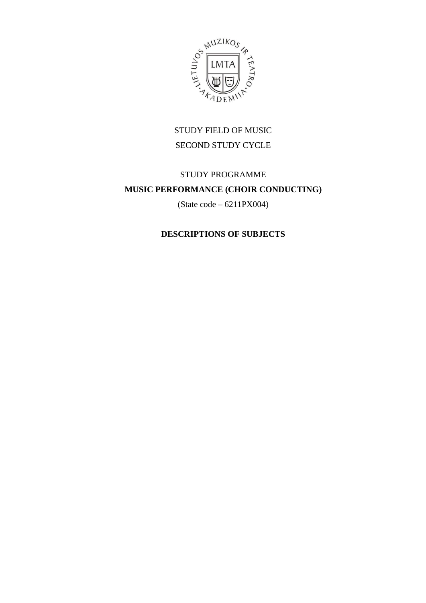

# STUDY FIELD OF MUSIC SECOND STUDY CYCLE

# STUDY PROGRAMME **MUSIC PERFORMANCE (CHOIR CONDUCTING)**

(State code – 6211PX004)

## **DESCRIPTIONS OF SUBJECTS**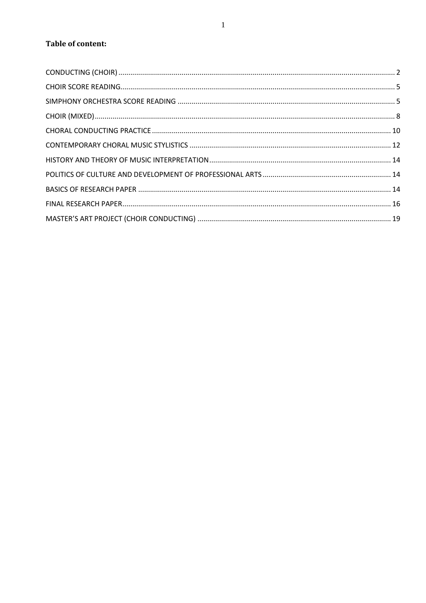## **Table of content:**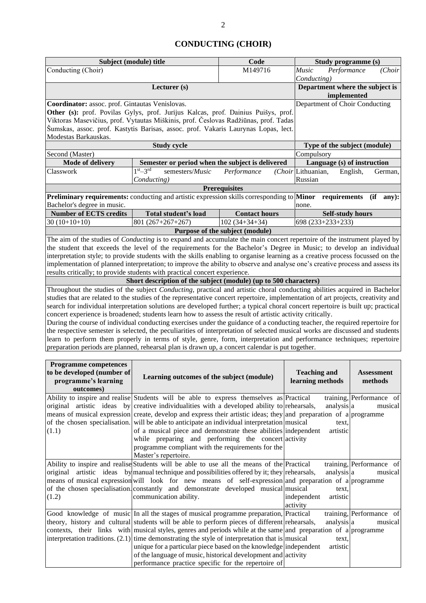## **CONDUCTING (CHOIR)**

<span id="page-2-0"></span>

|                                                                                                                                                                                                                                                                                                                                                                                                                                                                                                                                                                     | Subject (module) title                                                                                                                                                                                                                                                                                                                                                                                                                                                                                                                                                                                                                                                                                                                                                                                                                                                                                                                                                                                                                                                                                                                                                                                                                                                                                                                                                                                                                                                                                                                                                                                                                                                                    | Code                                           |                                         | Study programme (s)                 |             |                                     |  |
|---------------------------------------------------------------------------------------------------------------------------------------------------------------------------------------------------------------------------------------------------------------------------------------------------------------------------------------------------------------------------------------------------------------------------------------------------------------------------------------------------------------------------------------------------------------------|-------------------------------------------------------------------------------------------------------------------------------------------------------------------------------------------------------------------------------------------------------------------------------------------------------------------------------------------------------------------------------------------------------------------------------------------------------------------------------------------------------------------------------------------------------------------------------------------------------------------------------------------------------------------------------------------------------------------------------------------------------------------------------------------------------------------------------------------------------------------------------------------------------------------------------------------------------------------------------------------------------------------------------------------------------------------------------------------------------------------------------------------------------------------------------------------------------------------------------------------------------------------------------------------------------------------------------------------------------------------------------------------------------------------------------------------------------------------------------------------------------------------------------------------------------------------------------------------------------------------------------------------------------------------------------------------|------------------------------------------------|-----------------------------------------|-------------------------------------|-------------|-------------------------------------|--|
| Conducting (Choir)                                                                                                                                                                                                                                                                                                                                                                                                                                                                                                                                                  |                                                                                                                                                                                                                                                                                                                                                                                                                                                                                                                                                                                                                                                                                                                                                                                                                                                                                                                                                                                                                                                                                                                                                                                                                                                                                                                                                                                                                                                                                                                                                                                                                                                                                           |                                                |                                         |                                     | Performance | (Choir                              |  |
|                                                                                                                                                                                                                                                                                                                                                                                                                                                                                                                                                                     | Conducting)                                                                                                                                                                                                                                                                                                                                                                                                                                                                                                                                                                                                                                                                                                                                                                                                                                                                                                                                                                                                                                                                                                                                                                                                                                                                                                                                                                                                                                                                                                                                                                                                                                                                               | Department where the subject is<br>implemented |                                         |                                     |             |                                     |  |
| Coordinator: assoc. prof. Gintautas Venislovas.<br>Other (s): prof. Povilas Gylys, prof. Jurijus Kalcas, prof. Dainius Puišys, prof.<br>Viktoras Masevičius, prof. Vytautas Miškinis, prof. Česlovas Radžiūnas, prof. Tadas<br>Šumskas, assoc. prof. Kastytis Barisas, assoc. prof. Vakaris Laurynas Lopas, lect.                                                                                                                                                                                                                                                   |                                                                                                                                                                                                                                                                                                                                                                                                                                                                                                                                                                                                                                                                                                                                                                                                                                                                                                                                                                                                                                                                                                                                                                                                                                                                                                                                                                                                                                                                                                                                                                                                                                                                                           | Department of Choir Conducting                 |                                         |                                     |             |                                     |  |
| Modestas Barkauskas.                                                                                                                                                                                                                                                                                                                                                                                                                                                                                                                                                |                                                                                                                                                                                                                                                                                                                                                                                                                                                                                                                                                                                                                                                                                                                                                                                                                                                                                                                                                                                                                                                                                                                                                                                                                                                                                                                                                                                                                                                                                                                                                                                                                                                                                           |                                                |                                         |                                     |             |                                     |  |
|                                                                                                                                                                                                                                                                                                                                                                                                                                                                                                                                                                     | <b>Study cycle</b>                                                                                                                                                                                                                                                                                                                                                                                                                                                                                                                                                                                                                                                                                                                                                                                                                                                                                                                                                                                                                                                                                                                                                                                                                                                                                                                                                                                                                                                                                                                                                                                                                                                                        |                                                |                                         | Type of the subject (module)        |             |                                     |  |
| Second (Master)                                                                                                                                                                                                                                                                                                                                                                                                                                                                                                                                                     |                                                                                                                                                                                                                                                                                                                                                                                                                                                                                                                                                                                                                                                                                                                                                                                                                                                                                                                                                                                                                                                                                                                                                                                                                                                                                                                                                                                                                                                                                                                                                                                                                                                                                           |                                                | Compulsory                              |                                     |             |                                     |  |
| Mode of delivery                                                                                                                                                                                                                                                                                                                                                                                                                                                                                                                                                    | Semester or period when the subject is delivered<br>$1st - 3rd$                                                                                                                                                                                                                                                                                                                                                                                                                                                                                                                                                                                                                                                                                                                                                                                                                                                                                                                                                                                                                                                                                                                                                                                                                                                                                                                                                                                                                                                                                                                                                                                                                           |                                                |                                         | Language (s) of instruction         |             |                                     |  |
| Classwork                                                                                                                                                                                                                                                                                                                                                                                                                                                                                                                                                           | semesters/Music<br>Conducting)                                                                                                                                                                                                                                                                                                                                                                                                                                                                                                                                                                                                                                                                                                                                                                                                                                                                                                                                                                                                                                                                                                                                                                                                                                                                                                                                                                                                                                                                                                                                                                                                                                                            | Performance                                    | (Choir Lithuanian,<br>Russian           |                                     | English,    | German,                             |  |
|                                                                                                                                                                                                                                                                                                                                                                                                                                                                                                                                                                     |                                                                                                                                                                                                                                                                                                                                                                                                                                                                                                                                                                                                                                                                                                                                                                                                                                                                                                                                                                                                                                                                                                                                                                                                                                                                                                                                                                                                                                                                                                                                                                                                                                                                                           | <b>Prerequisites</b>                           |                                         |                                     |             |                                     |  |
| Bachelor's degree in music.                                                                                                                                                                                                                                                                                                                                                                                                                                                                                                                                         | Preliminary requirements: conducting and artistic expression skills corresponding to Minor                                                                                                                                                                                                                                                                                                                                                                                                                                                                                                                                                                                                                                                                                                                                                                                                                                                                                                                                                                                                                                                                                                                                                                                                                                                                                                                                                                                                                                                                                                                                                                                                |                                                | none.                                   | requirements                        |             | (ii<br>any):                        |  |
| <b>Number of ECTS credits</b>                                                                                                                                                                                                                                                                                                                                                                                                                                                                                                                                       | Total student's load                                                                                                                                                                                                                                                                                                                                                                                                                                                                                                                                                                                                                                                                                                                                                                                                                                                                                                                                                                                                                                                                                                                                                                                                                                                                                                                                                                                                                                                                                                                                                                                                                                                                      | <b>Contact hours</b>                           |                                         | <b>Self-study hours</b>             |             |                                     |  |
| $30(10+10+10)$                                                                                                                                                                                                                                                                                                                                                                                                                                                                                                                                                      | $801(267+267+267)$                                                                                                                                                                                                                                                                                                                                                                                                                                                                                                                                                                                                                                                                                                                                                                                                                                                                                                                                                                                                                                                                                                                                                                                                                                                                                                                                                                                                                                                                                                                                                                                                                                                                        | $102(34+34+34)$                                |                                         | 698 (233+233+233)                   |             |                                     |  |
|                                                                                                                                                                                                                                                                                                                                                                                                                                                                                                                                                                     |                                                                                                                                                                                                                                                                                                                                                                                                                                                                                                                                                                                                                                                                                                                                                                                                                                                                                                                                                                                                                                                                                                                                                                                                                                                                                                                                                                                                                                                                                                                                                                                                                                                                                           | Purpose of the subject (module)                |                                         |                                     |             |                                     |  |
|                                                                                                                                                                                                                                                                                                                                                                                                                                                                                                                                                                     | The aim of the studies of <i>Conducting</i> is to expand and accumulate the main concert repertoire of the instrument played by<br>the student that exceeds the level of the requirements for the Bachelor's Degree in Music; to develop an individual<br>interpretation style; to provide students with the skills enabling to organise learning as a creative process focussed on the<br>implementation of planned interpretation; to improve the ability to observe and analyse one's creative process and assess its<br>results critically; to provide students with practical concert experience.<br>Short description of the subject (module) (up to 500 characters)<br>Throughout the studies of the subject Conducting, practical and artistic choral conducting abilities acquired in Bachelor<br>studies that are related to the studies of the representative concert repertoire, implementation of art projects, creativity and<br>search for individual interpretation solutions are developed further; a typical choral concert repertoire is built up; practical<br>concert experience is broadened; students learn how to assess the result of artistic activity critically.<br>During the course of individual conducting exercises under the guidance of a conducting teacher, the required repertoire for<br>the respective semester is selected, the peculiarities of interpretation of selected musical works are discussed and students<br>learn to perform them properly in terms of style, genre, form, interpretation and performance techniques; repertoire<br>preparation periods are planned, rehearsal plan is drawn up, a concert calendar is put together. |                                                |                                         |                                     |             |                                     |  |
| <b>Programme competences</b><br>to be developed (number of<br>programme's learning<br>outcomes)                                                                                                                                                                                                                                                                                                                                                                                                                                                                     | Learning outcomes of the subject (module)                                                                                                                                                                                                                                                                                                                                                                                                                                                                                                                                                                                                                                                                                                                                                                                                                                                                                                                                                                                                                                                                                                                                                                                                                                                                                                                                                                                                                                                                                                                                                                                                                                                 |                                                | <b>Teaching and</b><br>learning methods |                                     |             | <b>Assessment</b><br>methods        |  |
|                                                                                                                                                                                                                                                                                                                                                                                                                                                                                                                                                                     | Ability to inspire and realise Students will be able to express themselves as Practical                                                                                                                                                                                                                                                                                                                                                                                                                                                                                                                                                                                                                                                                                                                                                                                                                                                                                                                                                                                                                                                                                                                                                                                                                                                                                                                                                                                                                                                                                                                                                                                                   |                                                |                                         |                                     |             | training, Performance of<br>musical |  |
| original artistic ideas by creative individualities with a developed ability to rehearsals,<br>analysis a<br>means of musical expression create, develop and express their artistic ideas; they and preparation of a programme<br>of the chosen specialisation. will be able to anticipate an individual interpretation musical<br>text,<br>of a musical piece and demonstrate these abilities independent<br>artistic<br>(1.1)<br>while preparing and performing the concert activity<br>programme compliant with the requirements for the<br>Master's repertoire. |                                                                                                                                                                                                                                                                                                                                                                                                                                                                                                                                                                                                                                                                                                                                                                                                                                                                                                                                                                                                                                                                                                                                                                                                                                                                                                                                                                                                                                                                                                                                                                                                                                                                                           |                                                |                                         |                                     |             |                                     |  |
| Ability to inspire and realise Students will be able to use all the means of the Practical<br>training, Performance of<br>original artistic ideas by manual technique and possibilities offered by it; they rehearsals,<br>analysis a<br>means of musical expression will look for new means of self-expression and preparation of a programme<br>of the chosen specialisation. constantly and demonstrate developed musical musical<br>text,<br>independent<br>communication ability.<br>artistic<br>(1.2)<br>activity                                             |                                                                                                                                                                                                                                                                                                                                                                                                                                                                                                                                                                                                                                                                                                                                                                                                                                                                                                                                                                                                                                                                                                                                                                                                                                                                                                                                                                                                                                                                                                                                                                                                                                                                                           |                                                |                                         |                                     |             |                                     |  |
| Good knowledge of music In all the stages of musical programme preparation, Practical<br>theory, history and cultural students will be able to perform pieces of different rehearsals,<br>contexts, their links with musical styles, genres and periods while at the same and preparation of a programme<br>interpretation traditions. $(2.1)$ time demonstrating the style of interpretation that is musical                                                                                                                                                       | unique for a particular piece based on the knowledge independent<br>of the language of music, historical development and activity                                                                                                                                                                                                                                                                                                                                                                                                                                                                                                                                                                                                                                                                                                                                                                                                                                                                                                                                                                                                                                                                                                                                                                                                                                                                                                                                                                                                                                                                                                                                                         | analysis a<br>text,<br>artistic                |                                         | training, Performance of<br>musical |             |                                     |  |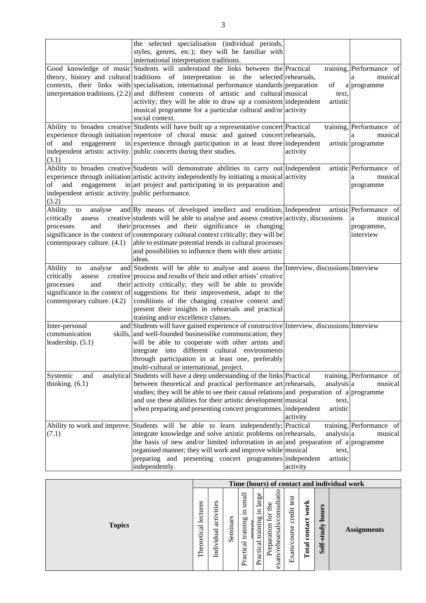|                                                                                                     | the selected specialisation (individual periods,<br>styles, genres, etc.); they will be familiar with<br>international interpretation traditions.                                                                                                                                                                                                                                                                                                                                       |                                             |                                                                    |
|-----------------------------------------------------------------------------------------------------|-----------------------------------------------------------------------------------------------------------------------------------------------------------------------------------------------------------------------------------------------------------------------------------------------------------------------------------------------------------------------------------------------------------------------------------------------------------------------------------------|---------------------------------------------|--------------------------------------------------------------------|
| interpretation traditions. (2.2)                                                                    | Good knowledge of music Students will understand the links between the Practical<br>theory, history and cultural traditions of interpretation in the selected rehearsals,<br>contexts, their links with specialisation, international performance standards preparation<br>and different contexts of artistic and cultural musical<br>activity; they will be able to draw up a consistent independent<br>musical programme for a particular cultural and/or activity<br>social context. | of<br>text,<br>artistic                     | training, Performance of<br>musical<br>a<br>a programme            |
| of<br>and<br>(3.1)                                                                                  | Ability to broaden creative Students will have built up a representative concert Practical<br>experience through initiation repertoire of choral music and gained concert rehearsals,<br>engagement in experience through participation in at least three independent<br>independent artistic activity. public concerts during their studies.                                                                                                                                           | activity                                    | training, Performance of<br>musical<br>a<br>artistic programme     |
| of<br>and<br>independent artistic activity. public performance.<br>(3.2)                            | Ability to broaden creative Students will demonstrate abilities to carry out Independent<br>experience through initiation artistic activity independently by initiating a musical activity<br>engagement in art project and participating in its preparation and                                                                                                                                                                                                                        |                                             | artistic Performance of<br>musical<br>a<br>programme               |
| Ability<br>to<br>analyse<br>critically<br>assess<br>processes<br>and<br>contemporary culture. (4.1) | and By means of developed intellect and erudition, Independent<br>creative students will be able to analyse and assess creative activity, discussions<br>their processes and their significance in changing<br>significance in the context of contemporary cultural context critically; they will be<br>able to estimate potential trends in cultural processes<br>and possibilities to influence them with their artistic<br>ideas.                                                    |                                             | artistic Performance of<br>musical<br>a<br>programme,<br>interview |
| Ability<br>analyse<br>to<br>critically<br>assess<br>and<br>processes<br>contemporary culture. (4.2) | and Students will be able to analyse and assess the Interview, discussions Interview<br>creative process and results of their and other artists' creative<br>their activity critically; they will be able to provide<br>significance in the context of suggestions for their improvement, adapt to the<br>conditions of the changing creative context and<br>present their insights in rehearsals and practical<br>training and/or excellence classes.                                  |                                             |                                                                    |
| Inter-personal<br>communication<br>leadership. $(5.1)$                                              | and Students will have gained experience of constructive Interview, discussions Interview<br>skills, and well-founded businesslike communication; they<br>will be able to cooperate with other artists and<br>integrate into different cultural environments<br>through participation in at least one, preferably<br>multi-cultural or international, project.                                                                                                                          |                                             |                                                                    |
| Systemic<br>and<br>thinking. $(6.1)$                                                                | analytical Students will have a deep understanding of the links Practical<br>between theoretical and practical performance art rehearsals,<br>studies; they will be able to see their causal relations and preparation of a programme<br>and use these abilities for their artistic development musical<br>when preparing and presenting concert programmes. independent                                                                                                                | analysis a<br>text,<br>artistic<br>activity | training, Performance of<br>musical                                |
| Ability to work and improve.<br>(7.1)                                                               | Students will be able to learn independently; Practical<br>integrate knowledge and solve artistic problems on rehearsals,<br>the basis of new and/or limited information in an and preparation of a programme<br>organised manner; they will work and improve while musical<br>preparing and presenting concert programmes independent<br>independently.                                                                                                                                | analysis a<br>text,<br>artistic<br>activity | training, Performance of<br>musical                                |

|               |                         |                                      |          |                                                |                                          |                                                                   |                                            |                                    |                         | Time (hours) of contact and individual work |
|---------------|-------------------------|--------------------------------------|----------|------------------------------------------------|------------------------------------------|-------------------------------------------------------------------|--------------------------------------------|------------------------------------|-------------------------|---------------------------------------------|
| <b>Topics</b> | lectures<br>Theoretical | vities<br>acti<br>ಸ<br>vidua<br>İndi | Seminars | small<br>- 크<br>ρO<br>trainin<br>ಸ<br>Practica | 96<br>ā<br>.드<br>training<br>ह<br>Practi | consultatio<br>£<br>for<br>rehearsals<br>reparation<br>تم<br>exam | test<br>credit<br>am/course<br>$E\ddot{x}$ | ork<br>₹<br>$\frac{1}{2}$<br>Total | ours<br>ᇰ<br>Self-study | <b>Assignments</b>                          |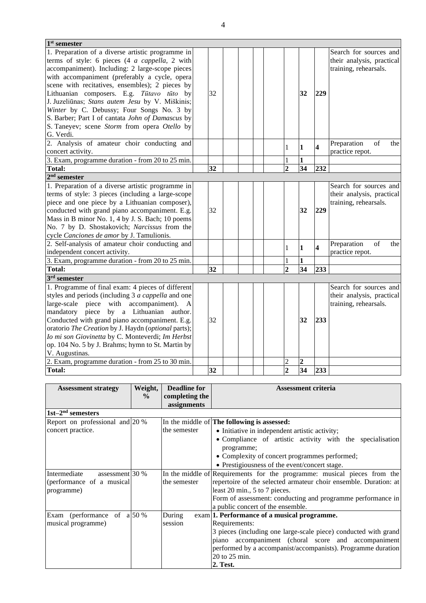| $1st$ semester                                      |    |  |                |                 |                         |                           |
|-----------------------------------------------------|----|--|----------------|-----------------|-------------------------|---------------------------|
| 1. Preparation of a diverse artistic programme in   |    |  |                |                 |                         | Search for sources and    |
| terms of style: 6 pieces (4 a cappella, 2 with      |    |  |                |                 |                         | their analysis, practical |
| accompaniment). Including: 2 large-scope pieces     |    |  |                |                 |                         | training, rehearsals.     |
| with accompaniment (preferably a cycle, opera       |    |  |                |                 |                         |                           |
| scene with recitatives, ensembles); 2 pieces by     |    |  |                |                 |                         |                           |
| Lithuanian composers. E.g. Tūtavo tūto by           | 32 |  |                | 32              | 229                     |                           |
| J. Juzeliūnas; Stans autem Jesu by V. Miškinis;     |    |  |                |                 |                         |                           |
| Winter by C. Debussy; Four Songs No. 3 by           |    |  |                |                 |                         |                           |
| S. Barber; Part I of cantata John of Damascus by    |    |  |                |                 |                         |                           |
| S. Taneyev; scene Storm from opera Otello by        |    |  |                |                 |                         |                           |
| G. Verdi.                                           |    |  |                |                 |                         |                           |
| 2. Analysis of amateur choir conducting and         |    |  | 1              | $\mathbf{1}$    | $\overline{\mathbf{4}}$ | Preparation<br>of<br>the  |
| concert activity.                                   |    |  |                |                 |                         | practice repot.           |
| 3. Exam, programme duration - from 20 to 25 min.    |    |  | $\mathbf{1}$   | $\mathbf{1}$    |                         |                           |
| <b>Total:</b>                                       | 32 |  | $\overline{2}$ | $\overline{34}$ | 232                     |                           |
| $2nd$ semester                                      |    |  |                |                 |                         |                           |
| 1. Preparation of a diverse artistic programme in   |    |  |                |                 |                         | Search for sources and    |
| terms of style: 3 pieces (including a large-scope   |    |  |                |                 |                         | their analysis, practical |
| piece and one piece by a Lithuanian composer),      |    |  |                |                 |                         | training, rehearsals.     |
| conducted with grand piano accompaniment. E.g.      | 32 |  |                | 32              | 229                     |                           |
| Mass in B minor No. 1, 4 by J. S. Bach; 10 poems    |    |  |                |                 |                         |                           |
| No. 7 by D. Shostakovich; Narcissus from the        |    |  |                |                 |                         |                           |
| cycle Canciones de amor by J. Tamulionis.           |    |  |                |                 |                         |                           |
| 2. Self-analysis of amateur choir conducting and    |    |  | $\mathbf{1}$   | $\mathbf{1}$    | $\overline{\mathbf{4}}$ | Preparation<br>of<br>the  |
| independent concert activity.                       |    |  |                |                 |                         | practice repot.           |
| 3. Exam, programme duration - from 20 to 25 min.    |    |  | 1              | 1               |                         |                           |
| <b>Total:</b>                                       | 32 |  | $\overline{2}$ | 34              | 233                     |                           |
| $3rd$ semester                                      |    |  |                |                 |                         |                           |
| 1. Programme of final exam: 4 pieces of different   |    |  |                |                 |                         | Search for sources and    |
| styles and periods (including 3 a cappella and one  |    |  |                |                 |                         | their analysis, practical |
| large-scale piece<br>with accompaniment).<br>A      |    |  |                |                 |                         | training, rehearsals.     |
| mandatory piece by a Lithuanian author.             |    |  |                |                 |                         |                           |
| Conducted with grand piano accompaniment. E.g.      | 32 |  |                | 32              | 233                     |                           |
| oratorio The Creation by J. Haydn (optional parts); |    |  |                |                 |                         |                           |
| Io mi son Giovinetta by C. Monteverdi; Im Herbst    |    |  |                |                 |                         |                           |
| op. 104 No. 5 by J. Brahms; hymn to St. Martin by   |    |  |                |                 |                         |                           |
| V. Augustinas.                                      |    |  |                |                 |                         |                           |
| 2. Exam, programme duration - from 25 to 30 min.    |    |  | $\overline{c}$ | $\overline{c}$  |                         |                           |
| <b>Total:</b>                                       | 32 |  | $\overline{2}$ | 34              | 233                     |                           |

| <b>Assessment strategy</b>          | Weight,<br>$\frac{0}{0}$ | <b>Deadline for</b><br>completing the | <b>Assessment criteria</b>                                               |  |  |  |  |  |  |
|-------------------------------------|--------------------------|---------------------------------------|--------------------------------------------------------------------------|--|--|--|--|--|--|
|                                     |                          | assignments                           |                                                                          |  |  |  |  |  |  |
| $1st-2nd$ semesters                 |                          |                                       |                                                                          |  |  |  |  |  |  |
| Report on professional and $ 20\% $ |                          |                                       | In the middle of <b>The following is assessed:</b>                       |  |  |  |  |  |  |
| concert practice.                   |                          | the semester                          | • Initiative in independent artistic activity;                           |  |  |  |  |  |  |
|                                     |                          |                                       | • Compliance of artistic activity with the specialisation                |  |  |  |  |  |  |
|                                     |                          |                                       | programme;                                                               |  |  |  |  |  |  |
|                                     |                          |                                       | • Complexity of concert programmes performed;                            |  |  |  |  |  |  |
|                                     |                          |                                       | • Prestigiousness of the event/concert stage.                            |  |  |  |  |  |  |
| Intermediate<br>assessment $30\%$   |                          |                                       | In the middle of Requirements for the programme: musical pieces from the |  |  |  |  |  |  |
| (performance of a musical           |                          | the semester                          | repertoire of the selected armateur choir ensemble. Duration: at         |  |  |  |  |  |  |
| programme)                          |                          |                                       | least 20 min., 5 to 7 pieces.                                            |  |  |  |  |  |  |
|                                     |                          |                                       | Form of assessment: conducting and programme performance in              |  |  |  |  |  |  |
|                                     |                          |                                       | a public concert of the ensemble.                                        |  |  |  |  |  |  |
| Exam (performance of $a 50\%$       |                          | During                                | exam 1. Performance of a musical programme.                              |  |  |  |  |  |  |
| musical programme)                  |                          | session                               | Requirements:                                                            |  |  |  |  |  |  |
|                                     |                          |                                       | 3 pieces (including one large-scale piece) conducted with grand          |  |  |  |  |  |  |
|                                     |                          |                                       | piano accompaniment (choral score and accompaniment                      |  |  |  |  |  |  |
|                                     |                          |                                       | performed by a accompanist/accompanists). Programme duration             |  |  |  |  |  |  |
|                                     |                          |                                       | 20 to 25 min.                                                            |  |  |  |  |  |  |
|                                     |                          |                                       | 2. Test.                                                                 |  |  |  |  |  |  |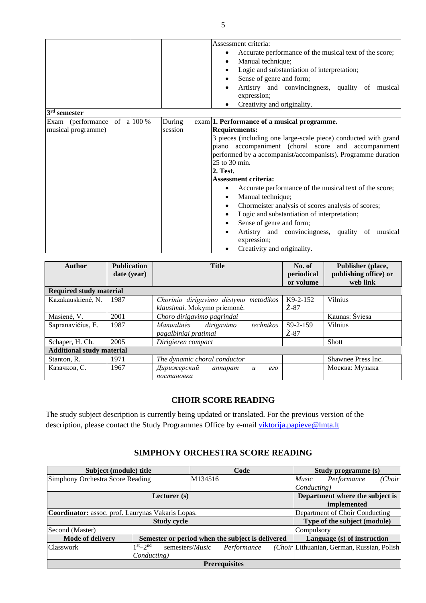|                                                      | Assessment criteria:<br>Accurate performance of the musical text of the score;<br>$\bullet$<br>Manual technique;<br>٠<br>Logic and substantiation of interpretation;<br>٠<br>Sense of genre and form;<br>٠<br>Artistry and convincingness, quality of musical<br>expression;<br>Creativity and originality.                                                                                                                                                                                                                                                                                                                                                                                                            |
|------------------------------------------------------|------------------------------------------------------------------------------------------------------------------------------------------------------------------------------------------------------------------------------------------------------------------------------------------------------------------------------------------------------------------------------------------------------------------------------------------------------------------------------------------------------------------------------------------------------------------------------------------------------------------------------------------------------------------------------------------------------------------------|
| $3rd$ semester                                       |                                                                                                                                                                                                                                                                                                                                                                                                                                                                                                                                                                                                                                                                                                                        |
| Exam (performance of $a 100\%$<br>musical programme) | During<br>exam   1. Performance of a musical programme.<br><b>Requirements:</b><br>session<br>3 pieces (including one large-scale piece) conducted with grand<br>piano accompaniment (choral score and accompaniment)<br>performed by a accompanist/accompanists). Programme duration<br>25 to 30 min.<br>2. Test.<br><b>Assessment criteria:</b><br>Accurate performance of the musical text of the score;<br>$\bullet$<br>Manual technique;<br>$\bullet$<br>Chormeister analysis of scores analysis of scores;<br>$\bullet$<br>Logic and substantiation of interpretation;<br>$\bullet$<br>Sense of genre and form;<br>Artistry and convincingness, quality of musical<br>expression;<br>Creativity and originality. |

| <b>Author</b>                    | <b>Publication</b><br>date (year) | <b>Title</b>                                                         | No. of<br>periodical<br>or volume | Publisher (place,<br>publishing office) or<br>web link |
|----------------------------------|-----------------------------------|----------------------------------------------------------------------|-----------------------------------|--------------------------------------------------------|
| <b>Required study material</b>   |                                   |                                                                      |                                   |                                                        |
| Kazakauskienė, N.                | 1987                              | Chorinio dirigavimo dėstymo metodikos<br>klausimai. Mokymo priemonė. | $K9-2-152$<br>Ž-87                | <b>Vilnius</b>                                         |
| Masienė, V.                      | 2001                              | Choro dirigavimo pagrindai                                           |                                   | Kaunas: Šviesa                                         |
| Sapranavičius, E.                | 1987                              | dirigavimo<br>technikos<br>Manualinės<br>pagalbiniai pratimai        | $S9-2-159$<br>$Z-87$              | <b>Vilnius</b>                                         |
| Schaper, H. Ch.                  | 2005                              | Dirigieren compact                                                   |                                   | Shott                                                  |
| <b>Additional study material</b> |                                   |                                                                      |                                   |                                                        |
| Stanton, R.                      | 1971                              | The dynamic choral conductor                                         |                                   | Shawnee Press Inc.                                     |
| Казачков, С.                     | 1967                              | Дирижерский<br>annapam<br>$\boldsymbol{u}$<br>ezo<br>постановка      |                                   | Москва: Музыка                                         |

### **CHOIR SCORE READING**

<span id="page-5-0"></span>The study subject description is currently being updated or translated. For the previous version of the description, please contact the Study Programmes Office by e-mail [viktorija.papieve@lmta.lt](mailto:viktorija.papieve@lmta.lt)

### **SIMPHONY ORCHESTRA SCORE READING**

<span id="page-5-1"></span>

| Subject (module) title                            |                                                  |         | Code        |              | Study programme (s) |                                            |  |  |  |
|---------------------------------------------------|--------------------------------------------------|---------|-------------|--------------|---------------------|--------------------------------------------|--|--|--|
| Simphony Orchestra Score Reading                  |                                                  | M134516 |             | <i>Music</i> | (Choir              |                                            |  |  |  |
|                                                   |                                                  |         |             |              | Conducting)         |                                            |  |  |  |
| Lecturer $(s)$                                    |                                                  |         |             |              |                     | Department where the subject is            |  |  |  |
|                                                   |                                                  |         | implemented |              |                     |                                            |  |  |  |
| Coordinator: assoc. prof. Laurynas Vakaris Lopas. |                                                  |         |             |              |                     | Department of Choir Conducting             |  |  |  |
|                                                   | <b>Study cycle</b>                               |         |             |              |                     | Type of the subject (module)               |  |  |  |
| Second (Master)                                   |                                                  |         |             |              | Compulsory          |                                            |  |  |  |
| <b>Mode of delivery</b>                           | Semester or period when the subject is delivered |         |             |              |                     | Language (s) of instruction                |  |  |  |
| <b>Classwork</b>                                  | $1st$ - 2nd<br>semesters/ <i>Music</i>           |         | Performance |              |                     | (Choir Lithuanian, German, Russian, Polish |  |  |  |
|                                                   | Conducting)                                      |         |             |              |                     |                                            |  |  |  |
| <b>Prerequisites</b>                              |                                                  |         |             |              |                     |                                            |  |  |  |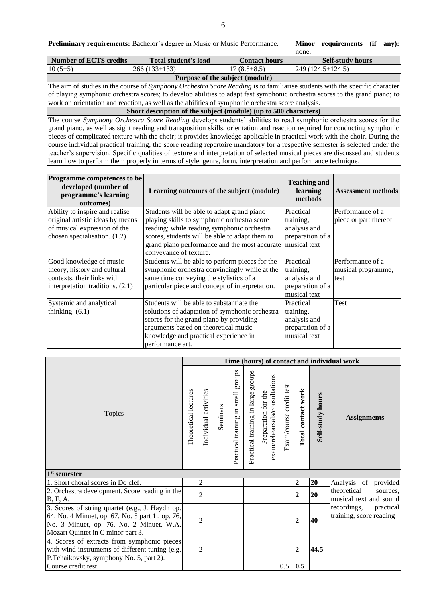| <b>Preliminary requirements:</b> Bachelor's degree in Music or Music Performance.                                            | <b>Minor</b><br>requirements                                                                                                  |                      | (if                     | any): |  |  |  |  |  |
|------------------------------------------------------------------------------------------------------------------------------|-------------------------------------------------------------------------------------------------------------------------------|----------------------|-------------------------|-------|--|--|--|--|--|
|                                                                                                                              | none.                                                                                                                         |                      |                         |       |  |  |  |  |  |
| <b>Number of ECTS credits</b>                                                                                                | Total student's load                                                                                                          | <b>Contact hours</b> | <b>Self-study hours</b> |       |  |  |  |  |  |
| $10(5+5)$                                                                                                                    | $ 266(133+133) $                                                                                                              | $17(8.5+8.5)$        | $[249 (124.5 + 124.5)]$ |       |  |  |  |  |  |
|                                                                                                                              | Purpose of the subject (module)                                                                                               |                      |                         |       |  |  |  |  |  |
| The aim of studies in the course of Symphony Orchestra Score Reading is to familiarise students with the specific character  |                                                                                                                               |                      |                         |       |  |  |  |  |  |
|                                                                                                                              | of playing symphonic orchestra scores; to develop abilities to adapt fast symphonic orchestra scores to the grand piano; to   |                      |                         |       |  |  |  |  |  |
|                                                                                                                              | work on orientation and reaction, as well as the abilities of symphonic orchestra score analysis.                             |                      |                         |       |  |  |  |  |  |
|                                                                                                                              | Short description of the subject (module) (up to 500 characters)                                                              |                      |                         |       |  |  |  |  |  |
|                                                                                                                              | The course Symphony Orchestra Score Reading develops students' abilities to read symphonic orchestra scores for the           |                      |                         |       |  |  |  |  |  |
|                                                                                                                              | grand piano, as well as sight reading and transposition skills, orientation and reaction required for conducting symphonic    |                      |                         |       |  |  |  |  |  |
| pieces of complicated texture with the choir; it provides knowledge applicable in practical work with the choir. During the  |                                                                                                                               |                      |                         |       |  |  |  |  |  |
| course individual practical training, the score reading repertoire mandatory for a respective semester is selected under the |                                                                                                                               |                      |                         |       |  |  |  |  |  |
|                                                                                                                              | teacher's supervision. Specific qualities of texture and interpretation of selected musical pieces are discussed and students |                      |                         |       |  |  |  |  |  |

learn how to perform them properly in terms of style, genre, form, interpretation and performance technique.

| <b>Programme competences to be</b><br>developed (number of<br>programme's learning<br>outcomes) | Learning outcomes of the subject (module)       | <b>Teaching and</b><br>learning<br>methods | <b>Assessment methods</b> |
|-------------------------------------------------------------------------------------------------|-------------------------------------------------|--------------------------------------------|---------------------------|
| Ability to inspire and realise                                                                  | Students will be able to adapt grand piano      | Practical                                  | Performance of a          |
| original artistic ideas by means                                                                | playing skills to symphonic orchestra score     | training,                                  | piece or part thereof     |
| of musical expression of the                                                                    | reading; while reading symphonic orchestra      | analysis and                               |                           |
| chosen specialisation. $(1.2)$                                                                  | scores, students will be able to adapt them to  | preparation of a                           |                           |
|                                                                                                 | grand piano performance and the most accurate   | musical text                               |                           |
|                                                                                                 | conveyance of texture.                          |                                            |                           |
| Good knowledge of music                                                                         | Students will be able to perform pieces for the | Practical                                  | Performance of a          |
| theory, history and cultural                                                                    | symphonic orchestra convincingly while at the   | training.                                  | musical programme,        |
| contexts, their links with                                                                      | same time conveying the stylistics of a         | analysis and                               | test                      |
| interpretation traditions. (2.1)                                                                | particular piece and concept of interpretation. | preparation of a                           |                           |
|                                                                                                 |                                                 | musical text                               |                           |
| Systemic and analytical                                                                         | Students will be able to substantiate the       | Practical                                  | Test                      |
| thinking. $(6.1)$                                                                               | solutions of adaptation of symphonic orchestra  | training,                                  |                           |
|                                                                                                 | scores for the grand piano by providing         | analysis and                               |                           |
|                                                                                                 | arguments based on theoretical music            | preparation of a                           |                           |
|                                                                                                 | knowledge and practical experience in           | musical text                               |                           |
|                                                                                                 | performance art.                                |                                            |                           |

|                                                                                                                                                                                       |  |                       |          |                                       |                                       |                                                      |                         |                    |                         | Time (hours) of contact and individual work       |
|---------------------------------------------------------------------------------------------------------------------------------------------------------------------------------------|--|-----------------------|----------|---------------------------------------|---------------------------------------|------------------------------------------------------|-------------------------|--------------------|-------------------------|---------------------------------------------------|
| Topics                                                                                                                                                                                |  | Individual activities | Seminars | stonbs<br>Practical training in small | sdnorß<br>Practical training in large | exam/rehearsals/consultations<br>Preparation for the | Exam/course credit test | Total contact work | <b>Self-study hours</b> | <b>Assignments</b>                                |
| 1 <sup>st</sup> semester                                                                                                                                                              |  |                       |          |                                       |                                       |                                                      |                         |                    |                         |                                                   |
| 1. Short choral scores in Do clef.                                                                                                                                                    |  | $\overline{c}$        |          |                                       |                                       |                                                      |                         | 2                  | 20                      | Analysis of provided                              |
| 2. Orchestra development. Score reading in the<br><b>B</b> , F, A.                                                                                                                    |  | $\overline{2}$        |          |                                       |                                       |                                                      |                         | $\mathbf{2}$       | 20                      | theoretical<br>sources,<br>musical text and sound |
| 3. Scores of string quartet (e.g., J. Haydn op.)<br>64, No. 4 Minuet, op. 67, No. 5 part 1., op. 76,<br>No. 3 Minuet, op. 76, No. 2 Minuet, W.A.<br>Mozart Quintet in C minor part 3. |  | $\overline{c}$        |          |                                       |                                       |                                                      |                         | $\mathbf{2}$       | 40                      | recordings, practical<br>training, score reading  |
| 4. Scores of extracts from symphonic pieces<br>with wind instruments of different tuning (e.g.<br>P.Tchaikovsky, symphony No. 5, part 2).                                             |  | $\overline{c}$        |          |                                       |                                       |                                                      |                         | $\overline{2}$     | 44.5                    |                                                   |
| Course credit test.                                                                                                                                                                   |  |                       |          |                                       |                                       |                                                      | 0.5                     | 0.5                |                         |                                                   |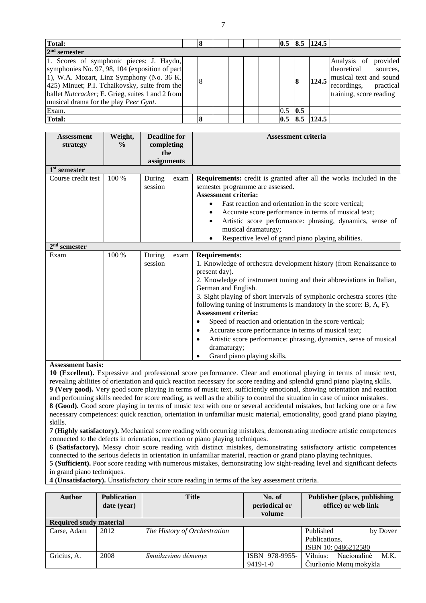| <b>Total:</b>                                                                                                                                                                                                                                                                                 | 8 |  |  | 0.5 |     | $8.5$  124.5 |                                                                                                                                     |
|-----------------------------------------------------------------------------------------------------------------------------------------------------------------------------------------------------------------------------------------------------------------------------------------------|---|--|--|-----|-----|--------------|-------------------------------------------------------------------------------------------------------------------------------------|
| $2nd$ semester                                                                                                                                                                                                                                                                                |   |  |  |     |     |              |                                                                                                                                     |
| 1. Scores of symphonic pieces: J. Haydn,<br>symphonies No. 97, 98, 104 (exposition of part<br>1), W.A. Mozart, Linz Symphony (No. 36 K.<br>425) Minuet; P.I. Tchaikovsky, suite from the<br>ballet Nutcracker; E. Grieg, suites 1 and 2 from<br>musical drama for the play <i>Peer Gynt</i> . | 8 |  |  |     | 8   | 124.5        | Analysis of<br>provided<br>theoretical<br>sources.<br>musical text and sound<br>practical<br>recordings,<br>training, score reading |
| Exam.                                                                                                                                                                                                                                                                                         |   |  |  | 0.5 | 0.5 |              |                                                                                                                                     |
| <b>Total:</b>                                                                                                                                                                                                                                                                                 | 8 |  |  | 0.5 | 8.5 | 124.5        |                                                                                                                                     |

| <b>Assessment</b>        | Weight,       | <b>Deadline for</b> |      | <b>Assessment criteria</b>                                                    |
|--------------------------|---------------|---------------------|------|-------------------------------------------------------------------------------|
| strategy                 | $\frac{0}{0}$ | completing          |      |                                                                               |
|                          |               | the                 |      |                                                                               |
|                          |               | assignments         |      |                                                                               |
| 1 <sup>st</sup> semester |               |                     |      |                                                                               |
| Course credit test       | 100 %         | During              | exam | <b>Requirements:</b> credit is granted after all the works included in the    |
|                          |               | session             |      | semester programme are assessed.                                              |
|                          |               |                     |      | <b>Assessment criteria:</b>                                                   |
|                          |               |                     |      | Fast reaction and orientation in the score vertical:                          |
|                          |               |                     |      | Accurate score performance in terms of musical text;                          |
|                          |               |                     |      | Artistic score performance: phrasing, dynamics, sense of                      |
|                          |               |                     |      | musical dramaturgy;                                                           |
|                          |               |                     |      | Respective level of grand piano playing abilities.                            |
| $2nd$ semester           |               |                     |      |                                                                               |
| Exam                     | $100\%$       | During              | exam | <b>Requirements:</b>                                                          |
|                          |               | session             |      | 1. Knowledge of orchestra development history (from Renaissance to            |
|                          |               |                     |      | present day).                                                                 |
|                          |               |                     |      | 2. Knowledge of instrument tuning and their abbreviations in Italian,         |
|                          |               |                     |      | German and English.                                                           |
|                          |               |                     |      | 3. Sight playing of short intervals of symphonic orchestra scores (the        |
|                          |               |                     |      | following tuning of instruments is mandatory in the score: B, A, F).          |
|                          |               |                     |      | <b>Assessment criteria:</b>                                                   |
|                          |               |                     |      | Speed of reaction and orientation in the score vertical;<br>٠                 |
|                          |               |                     |      | Accurate score performance in terms of musical text;<br>$\bullet$             |
|                          |               |                     |      | Artistic score performance: phrasing, dynamics, sense of musical<br>$\bullet$ |
|                          |               |                     |      | dramaturgy;                                                                   |
|                          |               |                     |      | Grand piano playing skills.                                                   |
| Accordent horie          |               |                     |      |                                                                               |

#### **Assessment basis:**

**10 (Excellent).** Expressive and professional score performance. Clear and emotional playing in terms of music text, revealing abilities of orientation and quick reaction necessary for score reading and splendid grand piano playing skills. **9 (Very good).** Very good score playing in terms of music text, sufficiently emotional, showing orientation and reaction and performing skills needed for score reading, as well as the ability to control the situation in case of minor mistakes. **8 (Good).** Good score playing in terms of music text with one or several accidental mistakes, but lacking one or a few necessary competences: quick reaction, orientation in unfamiliar music material, emotionality, good grand piano playing skills.

**7 (Highly satisfactory).** Mechanical score reading with occurring mistakes, demonstrating mediocre artistic competences connected to the defects in orientation, reaction or piano playing techniques.

**6 (Satisfactory).** Messy choir score reading with distinct mistakes, demonstrating satisfactory artistic competences connected to the serious defects in orientation in unfamiliar material, reaction or grand piano playing techniques.

**5 (Sufficient).** Poor score reading with numerous mistakes, demonstrating low sight-reading level and significant defects in grand piano techniques.

**4 (Unsatisfactory).** Unsatisfactory choir score reading in terms of the key assessment criteria.

| <b>Author</b>                  | <b>Publication</b><br>date (year) | <b>Title</b>                 | No. of<br>periodical or<br>volume | <b>Publisher (place, publishing)</b><br>office) or web link |  |  |  |  |  |
|--------------------------------|-----------------------------------|------------------------------|-----------------------------------|-------------------------------------------------------------|--|--|--|--|--|
| <b>Required study material</b> |                                   |                              |                                   |                                                             |  |  |  |  |  |
| Carse, Adam                    | 2012                              | The History of Orchestration |                                   | Published<br>by Dover                                       |  |  |  |  |  |
|                                |                                   |                              |                                   | Publications.                                               |  |  |  |  |  |
|                                |                                   |                              |                                   | ISBN 10:0486212580                                          |  |  |  |  |  |
| Gricius, A.                    | 2008                              | Smuikavimo dėmenys           | ISBN 978-9955-                    | Nacionalinė<br>Vilnius:<br>M.K.                             |  |  |  |  |  |
|                                |                                   |                              | $9419 - 1 - 0$                    | Čiurlionio Menų mokykla                                     |  |  |  |  |  |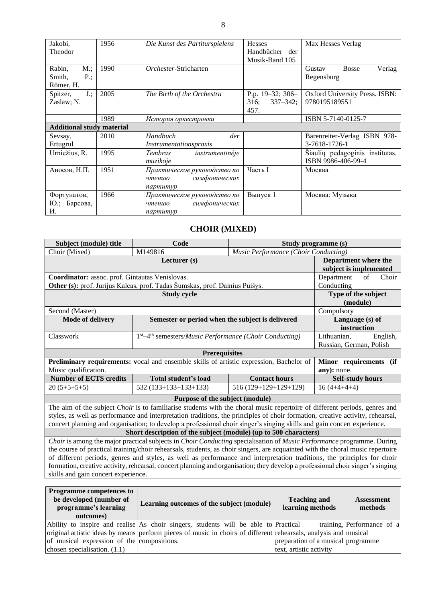| Jakobi,<br>Theodor                            | 1956 | Die Kunst des Partiturspielens                                     | <b>Hesses</b><br>Handbücher der<br>Musik-Band 105 | Max Hesses Verlag                                     |
|-----------------------------------------------|------|--------------------------------------------------------------------|---------------------------------------------------|-------------------------------------------------------|
| Rabin,<br>M:<br>Smith,<br>$P$ .;<br>Römer, H. | 1990 | Orchester-Stricharten                                              |                                                   | <b>Bosse</b><br>Verlag<br>Gustav<br>Regensburg        |
| $J$ .;<br>Spitzer,<br>Zaslaw; N.              | 2005 | The Birth of the Orchestra                                         | P.p. 19-32; 306-<br>316;<br>$337 - 342$ ;<br>457. | Oxford University Press. ISBN:<br>9780195189551       |
|                                               | 1989 | История оркестровки                                                |                                                   | ISBN 5-7140-0125-7                                    |
| <b>Additional study material</b>              |      |                                                                    |                                                   |                                                       |
| Sevsay,<br>Ertugrul                           | 2010 | Handbuch<br>der<br>Instrumentationspraxis                          |                                                   | Bärenreiter-Verlag ISBN 978-<br>3-7618-1726-1         |
| Urniežius, R.                                 | 1995 | Tembras<br>instrumentinėje<br>muzikoje                             |                                                   | Siaulių pedagoginis institutas.<br>ISBN 9986-406-99-4 |
| Аносов, Н.П.                                  | 1951 | Практическое руководство по<br>симфонических<br>чтению<br>napmumyp | Часть I                                           | Москва                                                |
| Фортунатов,<br>Барсова,<br>Ю.;<br>И.          | 1966 | Практическое руководство по<br>симфонических<br>чтению<br>napmumyp | Выпуск 1                                          | Москва: Музыка                                        |

### **CHOIR (MIXED)**

<span id="page-8-0"></span>

| Subject (module) title                                                                                                         | Code                                                                                                                    |                                      | Study programme (s)       |  |  |  |  |
|--------------------------------------------------------------------------------------------------------------------------------|-------------------------------------------------------------------------------------------------------------------------|--------------------------------------|---------------------------|--|--|--|--|
| Choir (Mixed)                                                                                                                  | M149816                                                                                                                 | Music Performance (Choir Conducting) |                           |  |  |  |  |
|                                                                                                                                | Department where the                                                                                                    |                                      |                           |  |  |  |  |
|                                                                                                                                |                                                                                                                         |                                      | subject is implemented    |  |  |  |  |
| Coordinator: assoc. prof. Gintautas Venislovas.                                                                                |                                                                                                                         |                                      | Choir<br>of<br>Department |  |  |  |  |
|                                                                                                                                | Other (s): prof. Jurijus Kalcas, prof. Tadas Šumskas, prof. Dainius Puišys.                                             |                                      | Conducting                |  |  |  |  |
|                                                                                                                                | <b>Study cycle</b>                                                                                                      |                                      | Type of the subject       |  |  |  |  |
|                                                                                                                                |                                                                                                                         |                                      | (module)                  |  |  |  |  |
| Second (Master)                                                                                                                |                                                                                                                         | Compulsory                           |                           |  |  |  |  |
| <b>Mode of delivery</b>                                                                                                        | Semester or period when the subject is delivered                                                                        |                                      |                           |  |  |  |  |
|                                                                                                                                |                                                                                                                         |                                      | instruction               |  |  |  |  |
| Classwork                                                                                                                      | $1st$ –4 <sup>th</sup> semesters/ <i>Music Performance</i> ( <i>Choir Conducting</i> )                                  |                                      | Lithuanian,<br>English,   |  |  |  |  |
|                                                                                                                                |                                                                                                                         |                                      | Russian, German, Polish   |  |  |  |  |
|                                                                                                                                | <b>Prerequisites</b>                                                                                                    |                                      |                           |  |  |  |  |
|                                                                                                                                | <b>Preliminary requirements:</b> vocal and ensemble skills of artistic expression, Bachelor of                          |                                      | Minor requirements (if    |  |  |  |  |
| Music qualification.                                                                                                           |                                                                                                                         |                                      | any): none.               |  |  |  |  |
| <b>Number of ECTS credits</b>                                                                                                  | <b>Total student's load</b>                                                                                             | <b>Contact hours</b>                 | <b>Self-study hours</b>   |  |  |  |  |
| $20(5+5+5+5)$                                                                                                                  | 532 (133+133+133+133)                                                                                                   | $516(129+129+129+129)$               | $16(4+4+4+4)$             |  |  |  |  |
| Purpose of the subject (module)                                                                                                |                                                                                                                         |                                      |                           |  |  |  |  |
| The aim of the subject Choir is to familiarise students with the choral music repertoire of different periods, genres and      |                                                                                                                         |                                      |                           |  |  |  |  |
| styles, as well as performance and interpretation traditions, the principles of choir formation, creative activity, rehearsal, |                                                                                                                         |                                      |                           |  |  |  |  |
|                                                                                                                                | concert planning and organisation; to develop a professional choir singer's singing skills and gain concert experience. |                                      |                           |  |  |  |  |
|                                                                                                                                | Short description of the subject (module) (up to 500 characters)                                                        |                                      |                           |  |  |  |  |

*Choir* is among the major practical subjects in *Choir Conducting* specialisation of *Music Performance* programme. During the course of practical training/choir rehearsals, students, as choir singers, are acquainted with the choral music repertoire of different periods, genres and styles, as well as performance and interpretation traditions, the principles for choir formation, creative activity, rehearsal, concert planning and organisation; they develop a professional choir singer's singing skills and gain concert experience.

| <b>Programme competences to</b><br>be developed (number of<br>programme's learning<br>outcomes) | Learning outcomes of the subject (module)                                                                        | <b>Teaching and</b><br>learning methods | <b>Assessment</b><br>methods |
|-------------------------------------------------------------------------------------------------|------------------------------------------------------------------------------------------------------------------|-----------------------------------------|------------------------------|
|                                                                                                 | Ability to inspire and realise As choir singers, students will be able to Practical                              |                                         | training, Performance of a   |
|                                                                                                 | original artistic ideas by means perform pieces of music in choirs of different rehearsals, analysis and musical |                                         |                              |
| of musical expression of the compositions.                                                      |                                                                                                                  | preparation of a musical programme      |                              |
| chosen specialisation. $(1.1)$                                                                  |                                                                                                                  | text, artistic activity                 |                              |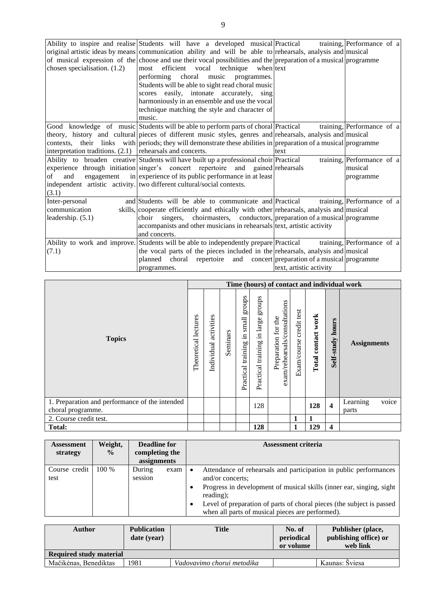|                                                               | Ability to inspire and realise Students will have a developed musical Practical                                  |                         | training, Performance of a |
|---------------------------------------------------------------|------------------------------------------------------------------------------------------------------------------|-------------------------|----------------------------|
|                                                               | original artistic ideas by means communication ability and will be able to rehearsals, analysis and musical      |                         |                            |
|                                                               | of musical expression of the choose and use their vocal possibilities and the preparation of a musical programme |                         |                            |
| chosen specialisation. (1.2)                                  | efficient vocal technique<br>when text<br>most                                                                   |                         |                            |
|                                                               | performing choral music programmes.                                                                              |                         |                            |
|                                                               | Students will be able to sight read choral music                                                                 |                         |                            |
|                                                               | scores easily, intonate accurately, sing                                                                         |                         |                            |
|                                                               | harmoniously in an ensemble and use the vocal                                                                    |                         |                            |
|                                                               | technique matching the style and character of                                                                    |                         |                            |
|                                                               | music.                                                                                                           |                         |                            |
|                                                               | Good knowledge of music Students will be able to perform parts of choral Practical                               |                         | training, Performance of a |
|                                                               | theory, history and cultural pieces of different music styles, genres and rehearsals, analysis and musical       |                         |                            |
|                                                               | contexts, their links with periods; they will demonstrate these abilities in preparation of a musical programme  |                         |                            |
| interpretation traditions. $(2.1)$   rehearsals and concerts. |                                                                                                                  | text                    |                            |
|                                                               | Ability to broaden creative Students will have built up a professional choir Practical                           |                         | training, Performance of a |
|                                                               | experience through initiation singer's concert repertoire and gained rehearsals                                  |                         | musical                    |
| of<br>and                                                     | engagement in experience of its public performance in at least                                                   |                         | programme                  |
|                                                               | independent artistic activity. two different cultural/social contexts.                                           |                         |                            |
| (3.1)                                                         |                                                                                                                  |                         |                            |
| Inter-personal                                                | and Students will be able to communicate and Practical                                                           |                         | training, Performance of a |
| communication                                                 | skills, cooperate efficiently and ethically with other rehearsals, analysis and musical                          |                         |                            |
| leadership. (5.1)                                             | singers, choirmasters, conductors, preparation of a musical programme<br>choir                                   |                         |                            |
|                                                               | accompanists and other musicians in rehearsals text, artistic activity                                           |                         |                            |
|                                                               | and concerts.                                                                                                    |                         |                            |
|                                                               | Ability to work and improve. Students will be able to independently prepare Practical                            |                         | training, Performance of a |
| (7.1)                                                         | the vocal parts of the pieces included in the rehearsals, analysis and musical                                   |                         |                            |
|                                                               | planned choral<br>repertoire and concert preparation of a musical programme                                      |                         |                            |
|                                                               | programmes.                                                                                                      | text, artistic activity |                            |

|                                                                     |                         |                              |          |                                                 |                                                |                                                      |                               |                                 |                         | Time (hours) of contact and individual work |
|---------------------------------------------------------------------|-------------------------|------------------------------|----------|-------------------------------------------------|------------------------------------------------|------------------------------------------------------|-------------------------------|---------------------------------|-------------------------|---------------------------------------------|
| <b>Topics</b>                                                       | lectures<br>Theoretical | S<br>activitie<br>Individual | Seminars | sdno.fa<br>small<br>르.<br>training<br>Practical | stonbs<br>large<br>묘.<br>training<br>Practical | exam/rehearsals/consultations<br>Preparation for the | test<br>credit<br>Exam/course | work<br>contact<br><b>Total</b> | hours<br>Self-study     | <b>Assignments</b>                          |
| 1. Preparation and performance of the intended<br>choral programme. |                         |                              |          |                                                 | 128                                            |                                                      |                               | 128                             | $\overline{\mathbf{4}}$ | Learning<br>voice<br>parts                  |
| 2. Course credit test.                                              |                         |                              |          |                                                 |                                                |                                                      | 1                             |                                 |                         |                                             |
| <b>Total:</b>                                                       |                         |                              |          |                                                 | 128                                            |                                                      | 1                             | 129                             | $\boldsymbol{4}$        |                                             |

| Assessment<br>strategy | Weight,<br>$\frac{6}{9}$ | Deadline for<br>completing the<br>assignments |        | <b>Assessment criteria</b>                                                                                                                                                                                                                                                                               |
|------------------------|--------------------------|-----------------------------------------------|--------|----------------------------------------------------------------------------------------------------------------------------------------------------------------------------------------------------------------------------------------------------------------------------------------------------------|
| Course credit<br>test  | $100\%$                  | During<br>session                             | exam 1 | Attendance of rehearsals and participation in public performances<br>and/or concerts;<br>Progress in development of musical skills (inner ear, singing, sight)<br>reading);<br>Level of preparation of parts of choral pieces (the subject is passed<br>when all parts of musical pieces are performed). |

| Author                  | <b>Publication</b><br>date (year) | <b>Title</b>               | No. of<br>periodical<br>or volume | Publisher (place,<br>publishing office) or<br>web link |  |  |  |  |
|-------------------------|-----------------------------------|----------------------------|-----------------------------------|--------------------------------------------------------|--|--|--|--|
| Required study material |                                   |                            |                                   |                                                        |  |  |  |  |
| Mačikėnas, Benediktas   | 1981                              | Vadovavimo chorui metodika |                                   | Kaunas: Šviesa                                         |  |  |  |  |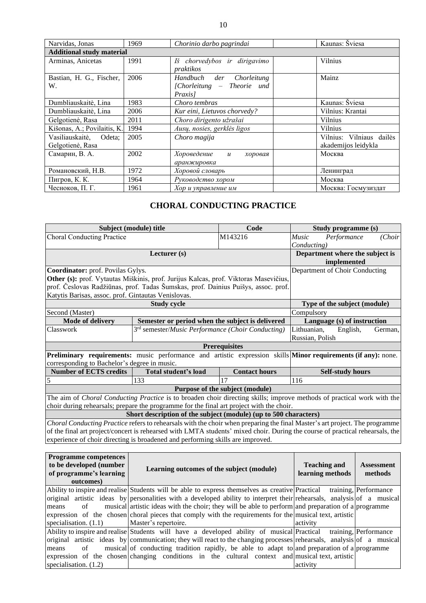| Narvidas, Jonas                | 1969                             | Chorinio darbo pagrindai                                             | Kaunas: Šviesa           |  |  |  |  |  |  |  |
|--------------------------------|----------------------------------|----------------------------------------------------------------------|--------------------------|--|--|--|--|--|--|--|
|                                | <b>Additional study material</b> |                                                                      |                          |  |  |  |  |  |  |  |
| Arminas, Anicetas              | 1991                             | Iš chorvedybos ir dirigavimo<br>praktikos                            | <b>Vilnius</b>           |  |  |  |  |  |  |  |
| Bastian, H. G., Fischer,<br>W. | 2006                             | Chorleitung<br>Handbuch der<br>[Chorleitung – Theorie und<br>Praxis] | Mainz                    |  |  |  |  |  |  |  |
| Dumbliauskaitė, Lina           | 1983                             | Choro tembras                                                        | Kaunas: Šviesa           |  |  |  |  |  |  |  |
| Dumbliauskaitė, Lina           | 2006                             | Kur eini, Lietuvos chorvedy?                                         | Vilnius: Krantai         |  |  |  |  |  |  |  |
| Gelgotienė, Rasa               | 2011                             | Choro dirigento užrašai                                              | <b>Vilnius</b>           |  |  |  |  |  |  |  |
| Kišonas, A.; Povilaitis, K.    | 1994                             | Ausų, nosies, gerklės ligos                                          | <b>Vilnius</b>           |  |  |  |  |  |  |  |
| Vasiliauskaitė,<br>Odeta;      | 2005                             | Choro magija                                                         | Vilnius: Vilniaus dailės |  |  |  |  |  |  |  |
| Gelgotienė, Rasa               |                                  |                                                                      | akademijos leidykla      |  |  |  |  |  |  |  |
| Самарин, В. А.                 | 2002                             | Хороведение<br>$\mathcal{U}$<br>хоровая<br>аранжировка               | Москва                   |  |  |  |  |  |  |  |
| Романовский, Н.В.              | 1972                             | Хоровой словарь                                                      | Ленинград                |  |  |  |  |  |  |  |
| Пигров, К. К.                  | 1964                             | Руководство хором                                                    | Москва                   |  |  |  |  |  |  |  |
| Чесноков, П. Г.                | 1961                             | Хор и управление им                                                  | Москва: Госмузиздат      |  |  |  |  |  |  |  |

## **CHORAL CONDUCTING PRACTICE**

<span id="page-10-0"></span>**Choral Conducting Practice Subject (module) title Code** Code Music Performance (Choir *Music Performance (Choir* 

| Subject (module) title                                                                          | Code                                                                                                                                                                                  | Study programme (s)                                                                                                                                                                                                                                                                                                                                                                                                                                                                                                            |                                                                                                                                                                                                                                                                                                                                                                                                                                                                                                                                                                                                                                                                                                                                                                                                                                                                                                                                                                                                                                                                                                                                                                                                                                                                                                                                                                                                                                                                                                                                                                                                                                                                                                                           |  |
|-------------------------------------------------------------------------------------------------|---------------------------------------------------------------------------------------------------------------------------------------------------------------------------------------|--------------------------------------------------------------------------------------------------------------------------------------------------------------------------------------------------------------------------------------------------------------------------------------------------------------------------------------------------------------------------------------------------------------------------------------------------------------------------------------------------------------------------------|---------------------------------------------------------------------------------------------------------------------------------------------------------------------------------------------------------------------------------------------------------------------------------------------------------------------------------------------------------------------------------------------------------------------------------------------------------------------------------------------------------------------------------------------------------------------------------------------------------------------------------------------------------------------------------------------------------------------------------------------------------------------------------------------------------------------------------------------------------------------------------------------------------------------------------------------------------------------------------------------------------------------------------------------------------------------------------------------------------------------------------------------------------------------------------------------------------------------------------------------------------------------------------------------------------------------------------------------------------------------------------------------------------------------------------------------------------------------------------------------------------------------------------------------------------------------------------------------------------------------------------------------------------------------------------------------------------------------------|--|
|                                                                                                 | M143216                                                                                                                                                                               | Performance                                                                                                                                                                                                                                                                                                                                                                                                                                                                                                                    | (Choir                                                                                                                                                                                                                                                                                                                                                                                                                                                                                                                                                                                                                                                                                                                                                                                                                                                                                                                                                                                                                                                                                                                                                                                                                                                                                                                                                                                                                                                                                                                                                                                                                                                                                                                    |  |
|                                                                                                 |                                                                                                                                                                                       |                                                                                                                                                                                                                                                                                                                                                                                                                                                                                                                                |                                                                                                                                                                                                                                                                                                                                                                                                                                                                                                                                                                                                                                                                                                                                                                                                                                                                                                                                                                                                                                                                                                                                                                                                                                                                                                                                                                                                                                                                                                                                                                                                                                                                                                                           |  |
|                                                                                                 |                                                                                                                                                                                       | implemented                                                                                                                                                                                                                                                                                                                                                                                                                                                                                                                    |                                                                                                                                                                                                                                                                                                                                                                                                                                                                                                                                                                                                                                                                                                                                                                                                                                                                                                                                                                                                                                                                                                                                                                                                                                                                                                                                                                                                                                                                                                                                                                                                                                                                                                                           |  |
|                                                                                                 |                                                                                                                                                                                       |                                                                                                                                                                                                                                                                                                                                                                                                                                                                                                                                |                                                                                                                                                                                                                                                                                                                                                                                                                                                                                                                                                                                                                                                                                                                                                                                                                                                                                                                                                                                                                                                                                                                                                                                                                                                                                                                                                                                                                                                                                                                                                                                                                                                                                                                           |  |
|                                                                                                 |                                                                                                                                                                                       |                                                                                                                                                                                                                                                                                                                                                                                                                                                                                                                                |                                                                                                                                                                                                                                                                                                                                                                                                                                                                                                                                                                                                                                                                                                                                                                                                                                                                                                                                                                                                                                                                                                                                                                                                                                                                                                                                                                                                                                                                                                                                                                                                                                                                                                                           |  |
|                                                                                                 |                                                                                                                                                                                       |                                                                                                                                                                                                                                                                                                                                                                                                                                                                                                                                |                                                                                                                                                                                                                                                                                                                                                                                                                                                                                                                                                                                                                                                                                                                                                                                                                                                                                                                                                                                                                                                                                                                                                                                                                                                                                                                                                                                                                                                                                                                                                                                                                                                                                                                           |  |
|                                                                                                 |                                                                                                                                                                                       |                                                                                                                                                                                                                                                                                                                                                                                                                                                                                                                                |                                                                                                                                                                                                                                                                                                                                                                                                                                                                                                                                                                                                                                                                                                                                                                                                                                                                                                                                                                                                                                                                                                                                                                                                                                                                                                                                                                                                                                                                                                                                                                                                                                                                                                                           |  |
|                                                                                                 |                                                                                                                                                                                       |                                                                                                                                                                                                                                                                                                                                                                                                                                                                                                                                |                                                                                                                                                                                                                                                                                                                                                                                                                                                                                                                                                                                                                                                                                                                                                                                                                                                                                                                                                                                                                                                                                                                                                                                                                                                                                                                                                                                                                                                                                                                                                                                                                                                                                                                           |  |
|                                                                                                 |                                                                                                                                                                                       |                                                                                                                                                                                                                                                                                                                                                                                                                                                                                                                                |                                                                                                                                                                                                                                                                                                                                                                                                                                                                                                                                                                                                                                                                                                                                                                                                                                                                                                                                                                                                                                                                                                                                                                                                                                                                                                                                                                                                                                                                                                                                                                                                                                                                                                                           |  |
|                                                                                                 |                                                                                                                                                                                       |                                                                                                                                                                                                                                                                                                                                                                                                                                                                                                                                | German,                                                                                                                                                                                                                                                                                                                                                                                                                                                                                                                                                                                                                                                                                                                                                                                                                                                                                                                                                                                                                                                                                                                                                                                                                                                                                                                                                                                                                                                                                                                                                                                                                                                                                                                   |  |
|                                                                                                 |                                                                                                                                                                                       |                                                                                                                                                                                                                                                                                                                                                                                                                                                                                                                                |                                                                                                                                                                                                                                                                                                                                                                                                                                                                                                                                                                                                                                                                                                                                                                                                                                                                                                                                                                                                                                                                                                                                                                                                                                                                                                                                                                                                                                                                                                                                                                                                                                                                                                                           |  |
|                                                                                                 |                                                                                                                                                                                       |                                                                                                                                                                                                                                                                                                                                                                                                                                                                                                                                |                                                                                                                                                                                                                                                                                                                                                                                                                                                                                                                                                                                                                                                                                                                                                                                                                                                                                                                                                                                                                                                                                                                                                                                                                                                                                                                                                                                                                                                                                                                                                                                                                                                                                                                           |  |
|                                                                                                 |                                                                                                                                                                                       |                                                                                                                                                                                                                                                                                                                                                                                                                                                                                                                                |                                                                                                                                                                                                                                                                                                                                                                                                                                                                                                                                                                                                                                                                                                                                                                                                                                                                                                                                                                                                                                                                                                                                                                                                                                                                                                                                                                                                                                                                                                                                                                                                                                                                                                                           |  |
| corresponding to Bachelor's degree in music.                                                    |                                                                                                                                                                                       |                                                                                                                                                                                                                                                                                                                                                                                                                                                                                                                                |                                                                                                                                                                                                                                                                                                                                                                                                                                                                                                                                                                                                                                                                                                                                                                                                                                                                                                                                                                                                                                                                                                                                                                                                                                                                                                                                                                                                                                                                                                                                                                                                                                                                                                                           |  |
|                                                                                                 |                                                                                                                                                                                       |                                                                                                                                                                                                                                                                                                                                                                                                                                                                                                                                |                                                                                                                                                                                                                                                                                                                                                                                                                                                                                                                                                                                                                                                                                                                                                                                                                                                                                                                                                                                                                                                                                                                                                                                                                                                                                                                                                                                                                                                                                                                                                                                                                                                                                                                           |  |
|                                                                                                 |                                                                                                                                                                                       |                                                                                                                                                                                                                                                                                                                                                                                                                                                                                                                                |                                                                                                                                                                                                                                                                                                                                                                                                                                                                                                                                                                                                                                                                                                                                                                                                                                                                                                                                                                                                                                                                                                                                                                                                                                                                                                                                                                                                                                                                                                                                                                                                                                                                                                                           |  |
|                                                                                                 |                                                                                                                                                                                       |                                                                                                                                                                                                                                                                                                                                                                                                                                                                                                                                |                                                                                                                                                                                                                                                                                                                                                                                                                                                                                                                                                                                                                                                                                                                                                                                                                                                                                                                                                                                                                                                                                                                                                                                                                                                                                                                                                                                                                                                                                                                                                                                                                                                                                                                           |  |
|                                                                                                 |                                                                                                                                                                                       |                                                                                                                                                                                                                                                                                                                                                                                                                                                                                                                                |                                                                                                                                                                                                                                                                                                                                                                                                                                                                                                                                                                                                                                                                                                                                                                                                                                                                                                                                                                                                                                                                                                                                                                                                                                                                                                                                                                                                                                                                                                                                                                                                                                                                                                                           |  |
|                                                                                                 |                                                                                                                                                                                       |                                                                                                                                                                                                                                                                                                                                                                                                                                                                                                                                |                                                                                                                                                                                                                                                                                                                                                                                                                                                                                                                                                                                                                                                                                                                                                                                                                                                                                                                                                                                                                                                                                                                                                                                                                                                                                                                                                                                                                                                                                                                                                                                                                                                                                                                           |  |
|                                                                                                 |                                                                                                                                                                                       |                                                                                                                                                                                                                                                                                                                                                                                                                                                                                                                                |                                                                                                                                                                                                                                                                                                                                                                                                                                                                                                                                                                                                                                                                                                                                                                                                                                                                                                                                                                                                                                                                                                                                                                                                                                                                                                                                                                                                                                                                                                                                                                                                                                                                                                                           |  |
|                                                                                                 |                                                                                                                                                                                       |                                                                                                                                                                                                                                                                                                                                                                                                                                                                                                                                |                                                                                                                                                                                                                                                                                                                                                                                                                                                                                                                                                                                                                                                                                                                                                                                                                                                                                                                                                                                                                                                                                                                                                                                                                                                                                                                                                                                                                                                                                                                                                                                                                                                                                                                           |  |
|                                                                                                 |                                                                                                                                                                                       |                                                                                                                                                                                                                                                                                                                                                                                                                                                                                                                                |                                                                                                                                                                                                                                                                                                                                                                                                                                                                                                                                                                                                                                                                                                                                                                                                                                                                                                                                                                                                                                                                                                                                                                                                                                                                                                                                                                                                                                                                                                                                                                                                                                                                                                                           |  |
|                                                                                                 |                                                                                                                                                                                       |                                                                                                                                                                                                                                                                                                                                                                                                                                                                                                                                |                                                                                                                                                                                                                                                                                                                                                                                                                                                                                                                                                                                                                                                                                                                                                                                                                                                                                                                                                                                                                                                                                                                                                                                                                                                                                                                                                                                                                                                                                                                                                                                                                                                                                                                           |  |
|                                                                                                 |                                                                                                                                                                                       |                                                                                                                                                                                                                                                                                                                                                                                                                                                                                                                                |                                                                                                                                                                                                                                                                                                                                                                                                                                                                                                                                                                                                                                                                                                                                                                                                                                                                                                                                                                                                                                                                                                                                                                                                                                                                                                                                                                                                                                                                                                                                                                                                                                                                                                                           |  |
|                                                                                                 |                                                                                                                                                                                       | <b>Teaching and</b><br>learning methods                                                                                                                                                                                                                                                                                                                                                                                                                                                                                        | <b>Assessment</b><br>methods                                                                                                                                                                                                                                                                                                                                                                                                                                                                                                                                                                                                                                                                                                                                                                                                                                                                                                                                                                                                                                                                                                                                                                                                                                                                                                                                                                                                                                                                                                                                                                                                                                                                                              |  |
|                                                                                                 |                                                                                                                                                                                       |                                                                                                                                                                                                                                                                                                                                                                                                                                                                                                                                | training, Performance                                                                                                                                                                                                                                                                                                                                                                                                                                                                                                                                                                                                                                                                                                                                                                                                                                                                                                                                                                                                                                                                                                                                                                                                                                                                                                                                                                                                                                                                                                                                                                                                                                                                                                     |  |
|                                                                                                 |                                                                                                                                                                                       |                                                                                                                                                                                                                                                                                                                                                                                                                                                                                                                                |                                                                                                                                                                                                                                                                                                                                                                                                                                                                                                                                                                                                                                                                                                                                                                                                                                                                                                                                                                                                                                                                                                                                                                                                                                                                                                                                                                                                                                                                                                                                                                                                                                                                                                                           |  |
|                                                                                                 |                                                                                                                                                                                       |                                                                                                                                                                                                                                                                                                                                                                                                                                                                                                                                |                                                                                                                                                                                                                                                                                                                                                                                                                                                                                                                                                                                                                                                                                                                                                                                                                                                                                                                                                                                                                                                                                                                                                                                                                                                                                                                                                                                                                                                                                                                                                                                                                                                                                                                           |  |
|                                                                                                 |                                                                                                                                                                                       |                                                                                                                                                                                                                                                                                                                                                                                                                                                                                                                                |                                                                                                                                                                                                                                                                                                                                                                                                                                                                                                                                                                                                                                                                                                                                                                                                                                                                                                                                                                                                                                                                                                                                                                                                                                                                                                                                                                                                                                                                                                                                                                                                                                                                                                                           |  |
|                                                                                                 |                                                                                                                                                                                       |                                                                                                                                                                                                                                                                                                                                                                                                                                                                                                                                | training, Performance                                                                                                                                                                                                                                                                                                                                                                                                                                                                                                                                                                                                                                                                                                                                                                                                                                                                                                                                                                                                                                                                                                                                                                                                                                                                                                                                                                                                                                                                                                                                                                                                                                                                                                     |  |
|                                                                                                 |                                                                                                                                                                                       |                                                                                                                                                                                                                                                                                                                                                                                                                                                                                                                                |                                                                                                                                                                                                                                                                                                                                                                                                                                                                                                                                                                                                                                                                                                                                                                                                                                                                                                                                                                                                                                                                                                                                                                                                                                                                                                                                                                                                                                                                                                                                                                                                                                                                                                                           |  |
|                                                                                                 |                                                                                                                                                                                       |                                                                                                                                                                                                                                                                                                                                                                                                                                                                                                                                |                                                                                                                                                                                                                                                                                                                                                                                                                                                                                                                                                                                                                                                                                                                                                                                                                                                                                                                                                                                                                                                                                                                                                                                                                                                                                                                                                                                                                                                                                                                                                                                                                                                                                                                           |  |
|                                                                                                 |                                                                                                                                                                                       |                                                                                                                                                                                                                                                                                                                                                                                                                                                                                                                                |                                                                                                                                                                                                                                                                                                                                                                                                                                                                                                                                                                                                                                                                                                                                                                                                                                                                                                                                                                                                                                                                                                                                                                                                                                                                                                                                                                                                                                                                                                                                                                                                                                                                                                                           |  |
| expression of the chosen changing conditions in the cultural context and musical text, artistic |                                                                                                                                                                                       |                                                                                                                                                                                                                                                                                                                                                                                                                                                                                                                                |                                                                                                                                                                                                                                                                                                                                                                                                                                                                                                                                                                                                                                                                                                                                                                                                                                                                                                                                                                                                                                                                                                                                                                                                                                                                                                                                                                                                                                                                                                                                                                                                                                                                                                                           |  |
|                                                                                                 | Lecturer (s)<br>Coordinator: prof. Povilas Gylys.<br>Katytis Barisas, assoc. prof. Gintautas Venislovas.<br><b>Study cycle</b><br>Total student's load<br>133<br>Master's repertoire. | Other (s): prof. Vytautas Miškinis, prof. Jurijus Kalcas, prof. Viktoras Masevičius,<br>prof. Česlovas Radžiūnas, prof. Tadas Šumskas, prof. Dainius Puišys, assoc. prof.<br>Semester or period when the subject is delivered<br>3 <sup>rd</sup> semester/ <i>Music Performance</i> (Choir Conducting)<br><b>Prerequisites</b><br><b>Contact hours</b><br>17<br>Purpose of the subject (module)<br>experience of choir directing is broadened and performing skills are improved.<br>Learning outcomes of the subject (module) | <b>Music</b><br>Conducting)<br>Department where the subject is<br>Department of Choir Conducting<br>Type of the subject (module)<br>Compulsory<br>Language (s) of instruction<br>Lithuanian,<br>English,<br>Russian, Polish<br>Preliminary requirements: music performance and artistic expression skills Minor requirements (if any): none.<br><b>Self-study hours</b><br>116<br>The aim of Choral Conducting Practice is to broaden choir directing skills; improve methods of practical work with the<br>choir during rehearsals; prepare the programme for the final art project with the choir.<br>Short description of the subject (module) (up to 500 characters)<br>Choral Conducting Practice refers to rehearsals with the choir when preparing the final Master's art project. The programme<br>of the final art project/concert is rehearsed with LMTA students' mixed choir. During the course of practical rehearsals, the<br>Ability to inspire and realise Students will be able to express themselves as creative Practical<br>original artistic ideas by personalities with a developed ability to interpret their rehearsals, analysis of a musical<br>musical artistic ideas with the choir; they will be able to perform and preparation of a programme<br>expression of the chosen choral pieces that comply with the requirements for the musical text, artistic<br>activity<br>Ability to inspire and realise Students will have a developed ability of musical Practical<br>original artistic ideas by communication; they will react to the changing processes rehearsals, analysis of a musical<br>musical of conducting tradition rapidly, be able to adapt to and preparation of a programme |  |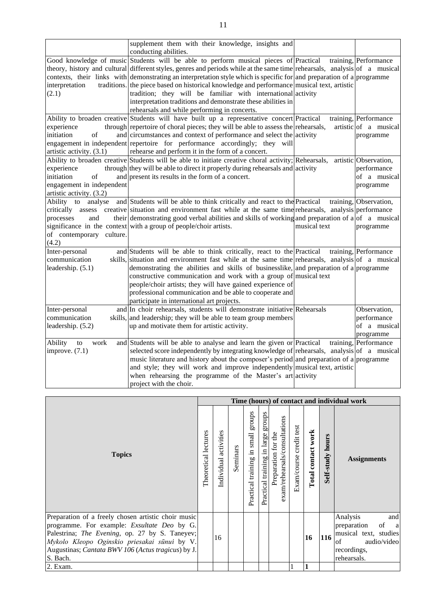|                           | supplement them with their knowledge, insights and<br>conducting abilities.                                                |              |                        |
|---------------------------|----------------------------------------------------------------------------------------------------------------------------|--------------|------------------------|
|                           | Good knowledge of music Students will be able to perform musical pieces of Practical                                       |              | training, Performance  |
|                           | theory, history and cultural different styles, genres and periods while at the same time rehearsals, analysis of a musical |              |                        |
|                           | contexts, their links with demonstrating an interpretation style which is specific for and preparation of a programme      |              |                        |
| interpretation            | traditions. the piece based on historical knowledge and performance musical text, artistic                                 |              |                        |
| (2.1)                     | tradition; they will be familiar with international activity                                                               |              |                        |
|                           | interpretation traditions and demonstrate these abilities in                                                               |              |                        |
|                           | rehearsals and while performing in concerts.                                                                               |              |                        |
|                           | Ability to broaden creative Students will have built up a representative concert Practical                                 |              | training, Performance  |
| experience                | through repertoire of choral pieces; they will be able to assess the rehearsals,                                           |              | artistic of a musical  |
| of<br>initiation          | and circumstances and context of performance and select the activity                                                       |              | programme              |
|                           | engagement in independent repertoire for performance accordingly; they will                                                |              |                        |
| artistic activity. (3.1)  | rehearse and perform it in the form of a concert.                                                                          |              |                        |
|                           | Ability to broaden creative Students will be able to initiate creative choral activity; Rehearsals,                        |              | artistic Observation,  |
| experience                | through they will be able to direct it properly during rehearsals and activity                                             |              | performance            |
| initiation<br>of          | and present its results in the form of a concert.                                                                          |              | of a musical           |
| engagement in independent |                                                                                                                            |              | programme              |
| artistic activity. (3.2)  |                                                                                                                            |              |                        |
| Ability to<br>analyse     | and Students will be able to think critically and react to the Practical                                                   |              | training, Observation, |
| critically                | assess creative situation and environment fast while at the same time rehearsals, analysis performance                     |              |                        |
| processes<br>and          | their demonstrating good verbal abilities and skills of working and preparation of a of a musical                          |              |                        |
|                           | significance in the context with a group of people/choir artists.                                                          | musical text | programme              |
| of contemporary culture.  |                                                                                                                            |              |                        |
| (4.2)                     |                                                                                                                            |              |                        |
| Inter-personal            | and Students will be able to think critically, react to the Practical                                                      |              | training, Performance  |
| communication             | skills, situation and environment fast while at the same time rehearsals, analysis of a musical                            |              |                        |
| leadership. $(5.1)$       | demonstrating the abilities and skills of businesslike, and preparation of a programme                                     |              |                        |
|                           | constructive communication and work with a group of musical text                                                           |              |                        |
|                           | people/choir artists; they will have gained experience of                                                                  |              |                        |
|                           | professional communication and be able to cooperate and                                                                    |              |                        |
|                           | participate in international art projects.                                                                                 |              |                        |
| Inter-personal            | and In choir rehearsals, students will demonstrate initiative Rehearsals                                                   |              | Observation,           |
| communication             | skills, and leadership; they will be able to team group members                                                            |              | performance            |
| leadership. (5.2)         | up and motivate them for artistic activity.                                                                                |              | of a musical           |
|                           |                                                                                                                            |              | programme              |
| Ability<br>work<br>to     | and Students will be able to analyse and learn the given or Practical                                                      |              | training, Performance  |
| improve. $(7.1)$          | selected score independently by integrating knowledge of rehearsals, analysis of a musical                                 |              |                        |
|                           | music literature and history about the composer's period and preparation of a programme                                    |              |                        |
|                           | and style; they will work and improve independently musical text, artistic                                                 |              |                        |
|                           |                                                                                                                            |              |                        |
|                           | when rehearsing the programme of the Master's art activity                                                                 |              |                        |
|                           | project with the choir.                                                                                                    |              |                        |

|                                                                                                                                                                                                                                                                               |                      |                          |          |                                                   |                                       |                                                      |                            |                    |                     | Time (hours) of contact and individual work                                                                                      |
|-------------------------------------------------------------------------------------------------------------------------------------------------------------------------------------------------------------------------------------------------------------------------------|----------------------|--------------------------|----------|---------------------------------------------------|---------------------------------------|------------------------------------------------------|----------------------------|--------------------|---------------------|----------------------------------------------------------------------------------------------------------------------------------|
| <b>Topics</b>                                                                                                                                                                                                                                                                 | Theoretical lectures | activities<br>Individual | Seminars | stonbs<br>small<br>$\Xi$<br>training<br>Practical | groups<br>Practical training in large | exam/rehearsals/consultations<br>Preparation for the | credit test<br>Exam/course | Total contact work | hours<br>Self-study | <b>Assignments</b>                                                                                                               |
| Preparation of a freely chosen artistic choir music<br>programme. For example: <i>Exsultate Deo</i> by G.<br>Palestrina; The Evening, op. 27 by S. Taneyev;<br>Mykolo Kleopo Oginskio priesakai sūnui by V.<br>Augustinas; Cantata BWV 106 (Actus tragicus) by J.<br>S. Bach. |                      | 16                       |          |                                                   |                                       |                                                      |                            | 16                 | 116                 | Analysis<br>and<br>preparation<br>of<br><sub>a</sub><br>musical text, studies<br>audio/video<br>of<br>recordings,<br>rehearsals. |
| 2. Exam.                                                                                                                                                                                                                                                                      |                      |                          |          |                                                   |                                       |                                                      |                            |                    |                     |                                                                                                                                  |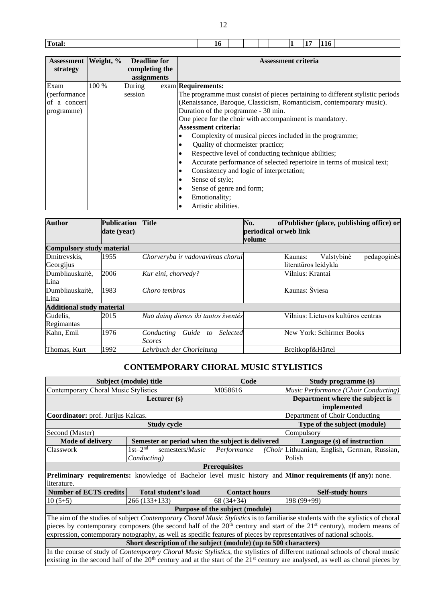|  | Total: | 10 |  |  |  |  | $\mathbf{116}$ |  |
|--|--------|----|--|--|--|--|----------------|--|
|--|--------|----|--|--|--|--|----------------|--|

| Assessment   Weight, %<br>strategy |       | <b>Deadline for</b><br>completing the | <b>Assessment criteria</b>                                                         |
|------------------------------------|-------|---------------------------------------|------------------------------------------------------------------------------------|
|                                    |       | assignments                           |                                                                                    |
| Exam                               | 100 % | During                                | exam Requirements:                                                                 |
| (performance                       |       | session                               | The programme must consist of pieces pertaining to different stylistic periods     |
| of a concert                       |       |                                       | (Renaissance, Baroque, Classicism, Romanticism, contemporary music).               |
| programme)                         |       |                                       | Duration of the programme - 30 min.                                                |
|                                    |       |                                       | One piece for the choir with accompaniment is mandatory.                           |
|                                    |       |                                       | <b>Assessment criteria:</b>                                                        |
|                                    |       |                                       | Complexity of musical pieces included in the programme;<br>٠                       |
|                                    |       |                                       | Quality of chormeister practice;<br>٠                                              |
|                                    |       |                                       | Respective level of conducting technique abilities;<br>$\bullet$                   |
|                                    |       |                                       | Accurate performance of selected repertoire in terms of musical text;<br>$\bullet$ |
|                                    |       |                                       | Consistency and logic of interpretation;<br>٠                                      |
|                                    |       |                                       | Sense of style;<br>٠                                                               |
|                                    |       |                                       | Sense of genre and form;<br>٠                                                      |
|                                    |       |                                       | Emotionality;<br>٠                                                                 |
|                                    |       |                                       | Artistic abilities.<br>٠                                                           |

| <b>Author</b>                    | <b>Publication</b><br>date (year) | <b>Title</b>                                        | No.<br>periodical orweb link | of Publisher (place, publishing office) or                   |
|----------------------------------|-----------------------------------|-----------------------------------------------------|------------------------------|--------------------------------------------------------------|
|                                  |                                   |                                                     | volume                       |                                                              |
| <b>Compulsory study material</b> |                                   |                                                     |                              |                                                              |
| Dmitrevskis,<br>Georgijus        | 1955                              | Chorveryba ir vadovavimas chorui                    |                              | pedagoginės<br>Valstybinė<br>Kaunas:<br>literatūros leidykla |
| Dumbliauskaitė,<br>Lina          | 2006                              | Kur eini, chorvedy?                                 |                              | Vilnius: Krantai                                             |
| Dumbliauskaitė,<br>Lina          | 1983                              | Choro tembras                                       |                              | Kaunas: Šviesa                                               |
| <b>Additional study material</b> |                                   |                                                     |                              |                                                              |
| Gudelis,<br>Regimantas           | 2015                              | Nuo dainų dienos iki tautos šventės                 |                              | Vilnius: Lietuvos kultūros centras                           |
| Kahn, Emil                       | 1976                              | Guide to<br><b>Selected</b><br>Conducting<br>Scores |                              | New York: Schirmer Books                                     |
| Thomas, Kurt                     | 1992                              | Lehrbuch der Chorleitung                            |                              | Breitkopf&Härtel                                             |

## **CONTEMPORARY CHORAL MUSIC STYLISTICS**

<span id="page-12-0"></span>

|                                      | Subject (module) title                                                                                              | Code                                                                                                                      | Study programme (s)                                                                                                                    |  |  |  |  |  |
|--------------------------------------|---------------------------------------------------------------------------------------------------------------------|---------------------------------------------------------------------------------------------------------------------------|----------------------------------------------------------------------------------------------------------------------------------------|--|--|--|--|--|
| Contemporary Choral Music Stylistics | Music Performance (Choir Conducting)                                                                                |                                                                                                                           |                                                                                                                                        |  |  |  |  |  |
|                                      | Lecturer $(s)$                                                                                                      |                                                                                                                           | Department where the subject is                                                                                                        |  |  |  |  |  |
|                                      |                                                                                                                     |                                                                                                                           | implemented                                                                                                                            |  |  |  |  |  |
| Coordinator: prof. Jurijus Kalcas.   |                                                                                                                     |                                                                                                                           | Department of Choir Conducting                                                                                                         |  |  |  |  |  |
|                                      | <b>Study cycle</b>                                                                                                  |                                                                                                                           | Type of the subject (module)                                                                                                           |  |  |  |  |  |
| Second (Master)                      |                                                                                                                     |                                                                                                                           | Compulsory                                                                                                                             |  |  |  |  |  |
| <b>Mode of delivery</b>              | Semester or period when the subject is delivered                                                                    |                                                                                                                           | Language (s) of instruction                                                                                                            |  |  |  |  |  |
| Classwork                            | $1st-2^{nd}$<br>semesters/ <i>Music</i>                                                                             | Performance                                                                                                               | (Choir Lithuanian, English, German, Russian,                                                                                           |  |  |  |  |  |
|                                      | Conducting)                                                                                                         |                                                                                                                           | Polish                                                                                                                                 |  |  |  |  |  |
|                                      | <b>Prerequisites</b>                                                                                                |                                                                                                                           |                                                                                                                                        |  |  |  |  |  |
|                                      |                                                                                                                     |                                                                                                                           | Preliminary requirements: knowledge of Bachelor level music history and <b>Minor requirements (if any)</b> : none.                     |  |  |  |  |  |
| literature.                          |                                                                                                                     |                                                                                                                           |                                                                                                                                        |  |  |  |  |  |
| <b>Number of ECTS credits</b>        | Total student's load                                                                                                | <b>Contact hours</b>                                                                                                      | <b>Self-study hours</b>                                                                                                                |  |  |  |  |  |
| $10(5+5)$                            | $266(133+133)$                                                                                                      | $68(34+34)$                                                                                                               | $198(99+99)$                                                                                                                           |  |  |  |  |  |
|                                      |                                                                                                                     | Purpose of the subject (module)                                                                                           |                                                                                                                                        |  |  |  |  |  |
|                                      |                                                                                                                     |                                                                                                                           | The aim of the studies of subject <i>Contemporary Choral Music Stylistics</i> is to familiarise students with the stylistics of choral |  |  |  |  |  |
|                                      |                                                                                                                     | pieces by contemporary composers (the second half of the $20th$ century and start of the $21st$ century), modern means of |                                                                                                                                        |  |  |  |  |  |
|                                      | expression, contemporary notography, as well as specific features of pieces by representatives of national schools. |                                                                                                                           |                                                                                                                                        |  |  |  |  |  |
|                                      | Short description of the subject (module) (up to 500 characters)                                                    |                                                                                                                           |                                                                                                                                        |  |  |  |  |  |
|                                      |                                                                                                                     |                                                                                                                           | In the course of study of <i>Contemporary Choral Music Stylistics</i> , the stylistics of different national schools of choral music   |  |  |  |  |  |
|                                      |                                                                                                                     |                                                                                                                           | existing in the second half of the $20th$ century and at the start of the $21st$ century are analysed, as well as choral pieces by     |  |  |  |  |  |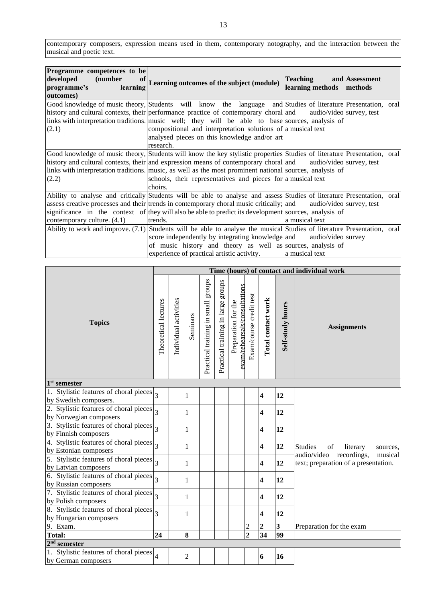contemporary composers, expression means used in them, contemporary notography, and the interaction between the musical and poetic text.

| Programme competences to be |                                                                                                                            |                          |                |  |
|-----------------------------|----------------------------------------------------------------------------------------------------------------------------|--------------------------|----------------|--|
| developed<br>(number<br>of  |                                                                                                                            | <b>Teaching</b>          | and Assessment |  |
| programme's<br>learning     | Learning outcomes of the subject (module)                                                                                  | learning methods         | methods        |  |
|                             |                                                                                                                            |                          |                |  |
| outcomes)                   |                                                                                                                            |                          |                |  |
|                             | Good knowledge of music theory, Students will know the language and Studies of literature Presentation, oral               |                          |                |  |
|                             | history and cultural contexts, their performance practice of contemporary choral and                                       | audio/video survey, test |                |  |
|                             | links with interpretation traditions. music well; they will be able to base sources, analysis of                           |                          |                |  |
| (2.1)                       | compositional and interpretation solutions of a musical text                                                               |                          |                |  |
|                             | analysed pieces on this knowledge and/or art                                                                               |                          |                |  |
|                             | research.                                                                                                                  |                          |                |  |
|                             | Good knowledge of music theory, Students will know the key stylistic properties Studies of literature Presentation, oral   |                          |                |  |
|                             | history and cultural contexts, their and expression means of contemporary choral and                                       | audio/video survey, test |                |  |
|                             | links with interpretation traditions. music, as well as the most prominent national sources, analysis of                   |                          |                |  |
| (2.2)                       | schools, their representatives and pieces for a musical text                                                               |                          |                |  |
|                             | choirs.                                                                                                                    |                          |                |  |
|                             | Ability to analyse and critically Students will be able to analyse and assess Studies of literature Presentation, oral     |                          |                |  |
|                             | assess creative processes and their trends in contemporary choral music critically; and audio/video survey, test           |                          |                |  |
|                             | significance in the context of they will also be able to predict its development sources, analysis of                      |                          |                |  |
| contemporary culture. (4.1) | trends.                                                                                                                    | a musical text           |                |  |
|                             | Ability to work and improve. $(7.1)$ Students will be able to analyse the musical Studies of literature Presentation, oral |                          |                |  |
|                             | score independently by integrating knowledge and audio/video survey                                                        |                          |                |  |
|                             | of music history and theory as well as sources, analysis of                                                                |                          |                |  |
|                             | experience of practical artistic activity.                                                                                 | a musical text           |                |  |

|                                                                                     |                          |                       |                |                                    |                                    |                                                      |                         |                         |                         | Time (hours) of contact and individual work                                   |  |
|-------------------------------------------------------------------------------------|--------------------------|-----------------------|----------------|------------------------------------|------------------------------------|------------------------------------------------------|-------------------------|-------------------------|-------------------------|-------------------------------------------------------------------------------|--|
| <b>Topics</b>                                                                       | Theoretical lectures     | Individual activities | Seminars       | Practical training in small groups | Practical training in large groups | exam/rehearsals/consultations<br>Preparation for the | Exam/course credit test | Total contact work      | Self-study hours        | <b>Assignments</b>                                                            |  |
| 1 <sup>st</sup> semester                                                            |                          |                       |                |                                    |                                    |                                                      |                         |                         |                         |                                                                               |  |
| 1. Stylistic features of choral pieces<br>by Swedish composers.                     |                          |                       | $\mathbf{1}$   |                                    |                                    |                                                      |                         | $\overline{\mathbf{4}}$ | 12                      |                                                                               |  |
| 2. Stylistic features of choral pieces $\frac{1}{3}$<br>by Norwegian composers      |                          |                       | $\mathbf{1}$   |                                    |                                    |                                                      |                         | $\overline{\mathbf{4}}$ | 12                      |                                                                               |  |
| 3. Stylistic features of choral pieces $\left _{3}\right $<br>by Finnish composers  |                          |                       | 1              |                                    |                                    |                                                      |                         | $\overline{\mathbf{4}}$ | 12                      |                                                                               |  |
| 4. Stylistic features of choral pieces $\left _{3}\right $<br>by Estonian composers |                          |                       | $\mathbf{1}$   |                                    |                                    |                                                      |                         | $\overline{\mathbf{4}}$ | 12                      | <b>Studies</b><br>literary<br>of<br>sources,                                  |  |
| 5. Stylistic features of choral pieces<br>by Latvian composers                      | $\overline{3}$           |                       | 1              |                                    |                                    |                                                      |                         | $\overline{\mathbf{4}}$ | 12                      | audio/video<br>recordings,<br>musical<br>text; preparation of a presentation. |  |
| 6. Stylistic features of choral pieces<br>by Russian composers                      | $\overline{\mathcal{E}}$ |                       | 1              |                                    |                                    |                                                      |                         | 4                       | 12                      |                                                                               |  |
| 7. Stylistic features of choral pieces $\frac{1}{3}$<br>by Polish composers         |                          |                       | $\mathbf{1}$   |                                    |                                    |                                                      |                         | $\overline{\mathbf{4}}$ | 12                      |                                                                               |  |
| 8. Stylistic features of choral pieces<br>by Hungarian composers                    | $\overline{3}$           |                       | $\mathbf{1}$   |                                    |                                    |                                                      |                         | $\overline{\mathbf{4}}$ | 12                      |                                                                               |  |
| 9. Exam.                                                                            |                          |                       |                |                                    |                                    |                                                      | $\overline{c}$          | $\overline{2}$          | $\overline{\mathbf{3}}$ | Preparation for the exam                                                      |  |
| <b>Total:</b>                                                                       | 24                       |                       | 8              |                                    |                                    |                                                      | $\overline{2}$          | $\overline{34}$         | 99                      |                                                                               |  |
| $2nd$ semester                                                                      |                          |                       |                |                                    |                                    |                                                      |                         |                         |                         |                                                                               |  |
| 1. Stylistic features of choral pieces<br>by German composers                       | $\overline{\mathcal{L}}$ |                       | $\overline{2}$ |                                    |                                    |                                                      |                         | 6                       | 16                      |                                                                               |  |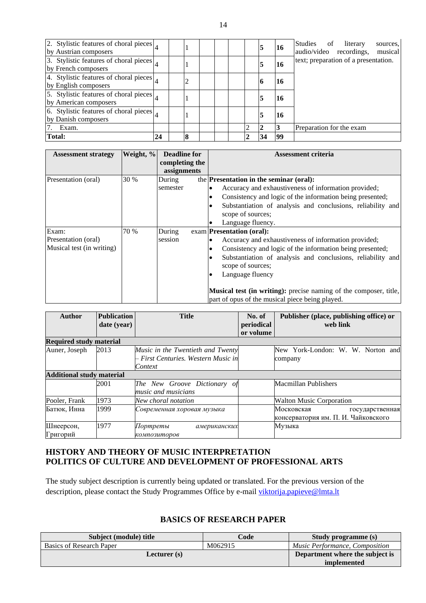| 2. Stylistic features of choral pieces $\vert_A$<br>by Austrian composers |    |   |  | 5  | 16 | Studies of<br>literary<br>sources,<br>audio/video recordings,<br>musical |
|---------------------------------------------------------------------------|----|---|--|----|----|--------------------------------------------------------------------------|
| 3. Stylistic features of choral pieces $\vert_A$<br>by French composers   |    |   |  | 5  | 16 | text; preparation of a presentation.                                     |
| 4. Stylistic features of choral pieces $\vert_A$<br>by English composers  |    |   |  | 10 | 16 |                                                                          |
| 5. Stylistic features of choral pieces $\vert_A$<br>by American composers |    |   |  | 5  | 16 |                                                                          |
| 6. Stylistic features of choral pieces<br>by Danish composers             |    |   |  | 5  | 16 |                                                                          |
| Exam.                                                                     |    |   |  |    |    | Preparation for the exam                                                 |
| <b>Total:</b>                                                             | 24 | 8 |  | 34 | 99 |                                                                          |

| <b>Assessment strategy</b> | Weight, % | <b>Deadline for</b> | <b>Assessment criteria</b>                                               |
|----------------------------|-----------|---------------------|--------------------------------------------------------------------------|
|                            |           | completing the      |                                                                          |
|                            |           | assignments         |                                                                          |
| Presentation (oral)        | 30 %      | During              | the Presentation in the seminar (oral):                                  |
|                            |           | semester            | Accuracy and exhaustiveness of information provided;                     |
|                            |           |                     | Consistency and logic of the information being presented;                |
|                            |           |                     | Substantiation of analysis and conclusions, reliability and              |
|                            |           |                     | scope of sources;                                                        |
|                            |           |                     | Language fluency.                                                        |
| Exam:                      | 70 %      | During              | exam <b>Presentation</b> (oral):                                         |
| Presentation (oral)        |           | session             | Accuracy and exhaustiveness of information provided;                     |
| Musical test (in writing)  |           |                     | Consistency and logic of the information being presented;                |
|                            |           |                     | Substantiation of analysis and conclusions, reliability and              |
|                            |           |                     | scope of sources;                                                        |
|                            |           |                     | Language fluency                                                         |
|                            |           |                     |                                                                          |
|                            |           |                     | <b>Musical test (in writing):</b> precise naming of the composer, title, |
|                            |           |                     | part of opus of the musical piece being played.                          |

| Author                           | <b>Publication</b> | <b>Title</b>                        | No. of     | Publisher (place, publishing office) or |  |  |
|----------------------------------|--------------------|-------------------------------------|------------|-----------------------------------------|--|--|
|                                  | date (year)        |                                     | periodical | web link                                |  |  |
|                                  |                    |                                     | or volume  |                                         |  |  |
| <b>Required study material</b>   |                    |                                     |            |                                         |  |  |
| Auner, Joseph                    | 2013               | Music in the Twentieth and Twenty   |            | New York-London: W. W. Norton and       |  |  |
|                                  |                    | – First Centuries, Western Music in |            | company                                 |  |  |
|                                  |                    | Context                             |            |                                         |  |  |
| <b>Additional study material</b> |                    |                                     |            |                                         |  |  |
|                                  | 2001               | The New Groove Dictionary of        |            | Macmillan Publishers                    |  |  |
|                                  |                    | music and musicians                 |            |                                         |  |  |
| Pooler, Frank                    | 1973               | New choral notation                 |            | <b>Walton Music Corporation</b>         |  |  |
| Батюк, Инна                      | 1999               | Современная хоровая музыка          |            | Московская<br>государственная           |  |  |
|                                  |                    |                                     |            | консерватория им. П. И. Чайковского     |  |  |
| Шнеерсон,                        | 1977               | Портреты<br>американских            |            | Музыка                                  |  |  |
| Григорий                         |                    | композиторов                        |            |                                         |  |  |

### <span id="page-14-1"></span><span id="page-14-0"></span>**HISTORY AND THEORY OF MUSIC INTERPRETATION POLITICS OF CULTURE AND DEVELOPMENT OF PROFESSIONAL ARTS**

The study subject description is currently being updated or translated. For the previous version of the description, please contact the Study Programmes Office by e-mail [viktorija.papieve@lmta.lt](mailto:viktorija.papieve@lmta.lt)

### **BASICS OF RESEARCH PAPER**

<span id="page-14-2"></span>

| Subject (module) title   | Code    | <b>Study programme (s)</b>            |
|--------------------------|---------|---------------------------------------|
| Basics of Research Paper | M062915 | <i>Music Performance, Composition</i> |
| Lecturer (s)             |         | Department where the subject is       |
|                          |         | <i>implemented</i>                    |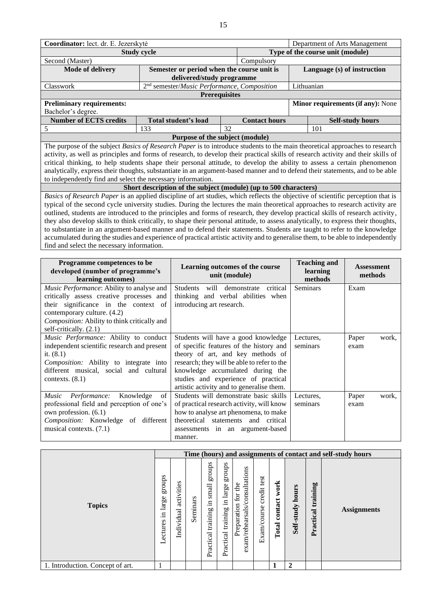|                                                                                                                                                                                                                                                           | Coordinator: lect. dr. E. Jezerskytė |                                                                         |                      |                                                    |                                   |  |  |  |  |  |  |
|-----------------------------------------------------------------------------------------------------------------------------------------------------------------------------------------------------------------------------------------------------------|--------------------------------------|-------------------------------------------------------------------------|----------------------|----------------------------------------------------|-----------------------------------|--|--|--|--|--|--|
| <b>Study cycle</b>                                                                                                                                                                                                                                        | Type of the course unit (module)     |                                                                         |                      |                                                    |                                   |  |  |  |  |  |  |
| Second (Master)                                                                                                                                                                                                                                           |                                      |                                                                         |                      |                                                    |                                   |  |  |  |  |  |  |
| Mode of delivery                                                                                                                                                                                                                                          | Language (s) of instruction          |                                                                         |                      |                                                    |                                   |  |  |  |  |  |  |
| Classwork                                                                                                                                                                                                                                                 |                                      | 2 <sup>nd</sup> semester/Music Performance, Composition                 |                      | Lithuanian                                         |                                   |  |  |  |  |  |  |
| <b>Prerequisites</b>                                                                                                                                                                                                                                      |                                      |                                                                         |                      |                                                    |                                   |  |  |  |  |  |  |
| <b>Preliminary requirements:</b>                                                                                                                                                                                                                          |                                      |                                                                         |                      |                                                    | Minor requirements (if any): None |  |  |  |  |  |  |
| Bachelor's degree.                                                                                                                                                                                                                                        |                                      |                                                                         |                      |                                                    |                                   |  |  |  |  |  |  |
| <b>Number of ECTS credits</b>                                                                                                                                                                                                                             |                                      | Total student's load                                                    | <b>Contact hours</b> |                                                    | <b>Self-study hours</b>           |  |  |  |  |  |  |
| 5                                                                                                                                                                                                                                                         | 133                                  | 32                                                                      |                      | 101                                                |                                   |  |  |  |  |  |  |
|                                                                                                                                                                                                                                                           |                                      | Purpose of the subject (module)                                         |                      |                                                    |                                   |  |  |  |  |  |  |
| The purpose of the subject Basics of Research Paper is to introduce students to the main theoretical approaches to research                                                                                                                               |                                      |                                                                         |                      |                                                    |                                   |  |  |  |  |  |  |
| activity, as well as principles and forms of research, to develop their practical skills of research activity and their skills of                                                                                                                         |                                      |                                                                         |                      |                                                    |                                   |  |  |  |  |  |  |
| critical thinking, to help students shape their personal attitude, to develop the ability to assess a certain phenomenon<br>analytically, express their thoughts, substantiate in an argument-based manner and to defend their statements, and to be able |                                      |                                                                         |                      |                                                    |                                   |  |  |  |  |  |  |
| to independently find and select the necessary information.                                                                                                                                                                                               |                                      |                                                                         |                      |                                                    |                                   |  |  |  |  |  |  |
|                                                                                                                                                                                                                                                           |                                      | Short description of the subject (module) (up to 500 characters)        |                      |                                                    |                                   |  |  |  |  |  |  |
| Basics of Research Paper is an applied discipline of art studies, which reflects the objective of scientific perception that is                                                                                                                           |                                      |                                                                         |                      |                                                    |                                   |  |  |  |  |  |  |
| typical of the second cycle university studies. During the lectures the main theoretical approaches to research activity are                                                                                                                              |                                      |                                                                         |                      |                                                    |                                   |  |  |  |  |  |  |
| outlined, students are introduced to the principles and forms of research, they develop practical skills of research activity,                                                                                                                            |                                      |                                                                         |                      |                                                    |                                   |  |  |  |  |  |  |
| they also develop skills to think critically, to shape their personal attitude, to assess analytically, to express their thoughts,                                                                                                                        |                                      |                                                                         |                      |                                                    |                                   |  |  |  |  |  |  |
| to substantiate in an argument-based manner and to defend their statements. Students are taught to refer to the knowledge                                                                                                                                 |                                      |                                                                         |                      |                                                    |                                   |  |  |  |  |  |  |
| accumulated during the studies and experience of practical artistic activity and to generalise them, to be able to independently                                                                                                                          |                                      |                                                                         |                      |                                                    |                                   |  |  |  |  |  |  |
| find and select the necessary information.                                                                                                                                                                                                                |                                      |                                                                         |                      |                                                    |                                   |  |  |  |  |  |  |
|                                                                                                                                                                                                                                                           |                                      |                                                                         |                      |                                                    |                                   |  |  |  |  |  |  |
|                                                                                                                                                                                                                                                           |                                      |                                                                         |                      | Programme competences to be<br><b>Teaching and</b> |                                   |  |  |  |  |  |  |
|                                                                                                                                                                                                                                                           |                                      | Learning outcomes of the course<br>developed (number of programme's     |                      |                                                    |                                   |  |  |  |  |  |  |
| learning outcomes)                                                                                                                                                                                                                                        |                                      |                                                                         |                      | learning                                           | <b>Assessment</b>                 |  |  |  |  |  |  |
|                                                                                                                                                                                                                                                           |                                      | unit (module)                                                           |                      | methods                                            | methods                           |  |  |  |  |  |  |
| Music Performance: Ability to analyse and                                                                                                                                                                                                                 |                                      | will<br>Students                                                        | demonstrate critical | <b>Seminars</b>                                    | Exam                              |  |  |  |  |  |  |
| critically assess creative processes and                                                                                                                                                                                                                  |                                      | thinking and verbal abilities when                                      |                      |                                                    |                                   |  |  |  |  |  |  |
| their significance in the context of                                                                                                                                                                                                                      |                                      | introducing art research.                                               |                      |                                                    |                                   |  |  |  |  |  |  |
| contemporary culture. (4.2)                                                                                                                                                                                                                               |                                      |                                                                         |                      |                                                    |                                   |  |  |  |  |  |  |
| Composition: Ability to think critically and                                                                                                                                                                                                              |                                      |                                                                         |                      |                                                    |                                   |  |  |  |  |  |  |
| self-critically. (2.1)                                                                                                                                                                                                                                    |                                      |                                                                         |                      |                                                    |                                   |  |  |  |  |  |  |
| Music Performance: Ability to conduct                                                                                                                                                                                                                     |                                      | Students will have a good knowledge                                     |                      | Lectures,                                          | Paper<br>work,                    |  |  |  |  |  |  |
| independent scientific research and present                                                                                                                                                                                                               |                                      | of specific features of the history and                                 |                      | seminars                                           | exam                              |  |  |  |  |  |  |
| it. $(8.1)$                                                                                                                                                                                                                                               |                                      | theory of art, and key methods of                                       |                      |                                                    |                                   |  |  |  |  |  |  |
| Composition: Ability to integrate into                                                                                                                                                                                                                    |                                      | research; they will be able to refer to the                             |                      |                                                    |                                   |  |  |  |  |  |  |
| different musical, social and cultural<br>contexts. $(8.1)$                                                                                                                                                                                               |                                      | knowledge accumulated during the<br>studies and experience of practical |                      |                                                    |                                   |  |  |  |  |  |  |
|                                                                                                                                                                                                                                                           |                                      | artistic activity and to generalise them.                               |                      |                                                    |                                   |  |  |  |  |  |  |
| Knowledge<br>Performance:<br>Music                                                                                                                                                                                                                        | of                                   | Students will demonstrate basic skills                                  |                      | Lectures,                                          | Paper<br>work,                    |  |  |  |  |  |  |
| professional field and perception of one's                                                                                                                                                                                                                |                                      | of practical research activity, will know                               |                      | seminars                                           | exam                              |  |  |  |  |  |  |
| own profession. (6.1)                                                                                                                                                                                                                                     |                                      | how to analyse art phenomena, to make                                   |                      |                                                    |                                   |  |  |  |  |  |  |
| Composition: Knowledge of different                                                                                                                                                                                                                       |                                      | theoretical statements and critical                                     |                      |                                                    |                                   |  |  |  |  |  |  |
| musical contexts. (7.1)                                                                                                                                                                                                                                   |                                      | assessments in an argument-based                                        |                      |                                                    |                                   |  |  |  |  |  |  |

|                                  |                                        |                          |          |                                                |                                          |                                                                 |                               |                          |                          |                       | Time (hours) and assignments of contact and self-study hours |
|----------------------------------|----------------------------------------|--------------------------|----------|------------------------------------------------|------------------------------------------|-----------------------------------------------------------------|-------------------------------|--------------------------|--------------------------|-----------------------|--------------------------------------------------------------|
| <b>Topics</b>                    | sdnong<br>large<br>- 드<br>ectures<br>━ | activities<br>Individual | Seminars | groups<br>small<br>.크<br>training<br>Practical | stonds<br>in large<br>Practical training | /consultations<br>the<br>for<br>Preparation<br>exam/rehearsals. | test<br>credit<br>Exam/course | work<br>contact<br>Total | hours<br>study.<br>Self- | training<br>Practical | <b>Assignments</b>                                           |
| 1. Introduction. Concept of art. |                                        |                          |          |                                                |                                          |                                                                 |                               | 1                        | $\mathbf{2}$             |                       |                                                              |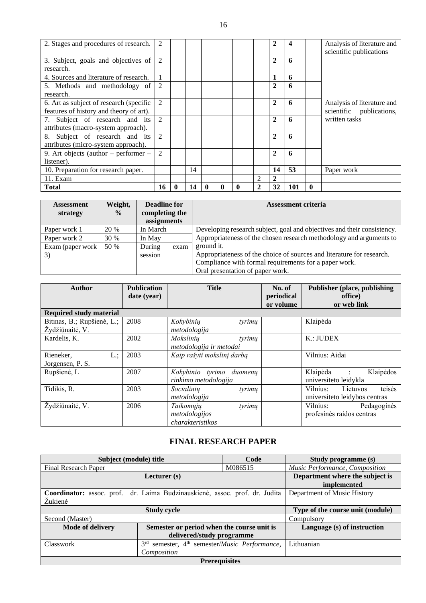| 2. Stages and procedures of research.    | 2              |          |    |          |              |                             | $\mathbf{2}$   | 4   |          | Analysis of literature and<br>scientific publications |
|------------------------------------------|----------------|----------|----|----------|--------------|-----------------------------|----------------|-----|----------|-------------------------------------------------------|
| 3. Subject, goals and objectives of      | 2              |          |    |          |              |                             | $\mathbf{2}$   | 6   |          |                                                       |
| research.                                |                |          |    |          |              |                             |                |     |          |                                                       |
| 4. Sources and literature of research.   |                |          |    |          |              |                             | 1              | 6   |          |                                                       |
| 5. Methods and methodology of            | 2              |          |    |          |              |                             | $\mathbf{2}$   | 6   |          |                                                       |
| research.                                |                |          |    |          |              |                             |                |     |          |                                                       |
| 6. Art as subject of research (specific  | 2              |          |    |          |              |                             | $\mathbf{2}$   | 6   |          | Analysis of literature and                            |
| features of history and theory of art).  |                |          |    |          |              |                             |                |     |          | scientific publications,                              |
| 7. Subject of research and its           | 2              |          |    |          |              |                             | $\mathbf{2}$   | 6   |          | written tasks                                         |
| attributes (macro-system approach).      |                |          |    |          |              |                             |                |     |          |                                                       |
| 8. Subject of research and its           | 2              |          |    |          |              |                             | $\overline{2}$ | 6   |          |                                                       |
| attributes (micro-system approach).      |                |          |    |          |              |                             |                |     |          |                                                       |
| 9. Art objects (author $-$ performer $-$ | $\overline{2}$ |          |    |          |              |                             | $\overline{2}$ | 6   |          |                                                       |
| listener).                               |                |          |    |          |              |                             |                |     |          |                                                       |
| 10. Preparation for research paper.      |                |          | 14 |          |              |                             | 14             | 53  |          | Paper work                                            |
| 11. Exam                                 |                |          |    |          |              | $\mathcal{D}_{\mathcal{A}}$ | $\mathbf{2}$   |     |          |                                                       |
| <b>Total</b>                             | 16             | $\bf{0}$ | 14 | $\bf{0}$ | $\mathbf{0}$ | $\mathbf{2}$                | 32             | 101 | $\bf{0}$ |                                                       |

| <b>Assessment</b><br>strategy | Weight,<br>$\frac{6}{9}$ | Deadline for<br>completing the<br>assignments |      | <b>Assessment criteria</b>                                              |
|-------------------------------|--------------------------|-----------------------------------------------|------|-------------------------------------------------------------------------|
| Paper work 1                  | 20 %                     | In March                                      |      | Developing research subject, goal and objectives and their consistency. |
| Paper work 2                  | <b>30 %</b>              | In May                                        |      | Appropriateness of the chosen research methodology and arguments to     |
| Exam (paper work              | 50 %                     | During                                        | exam | ground it.                                                              |
| 3)                            |                          | session                                       |      | Appropriateness of the choice of sources and literature for research.   |
|                               |                          |                                               |      | Compliance with formal requirements for a paper work.                   |
|                               |                          |                                               |      | Oral presentation of paper work.                                        |

| <b>Author</b>                                 | <b>Publication</b><br>date (year) | <b>Title</b>                                             | No. of<br>periodical<br>or volume | <b>Publisher (place, publishing)</b><br>office)<br>or web link   |
|-----------------------------------------------|-----------------------------------|----------------------------------------------------------|-----------------------------------|------------------------------------------------------------------|
| <b>Required study material</b>                |                                   |                                                          |                                   |                                                                  |
| Bitinas, B.; Rupšienė, L.;<br>Žydžiūnaitė, V. | 2008                              | Kokybinių<br>tyrimu<br>metodologija                      |                                   | Klaipėda                                                         |
| Kardelis, K.                                  | 2002                              | Mokslinių<br>tyrimu<br>metodologija ir metodai           |                                   | K:JUDEX                                                          |
| Rieneker,<br>$L$ .;<br>Jorgensen, P. S.       | 2003                              | Kaip rašyti mokslinį darbą                               |                                   | Vilnius: Aidai                                                   |
| Rupšienė, L                                   | 2007                              | Kokybinio tyrimo duomenų<br>rinkimo metodologija         |                                   | Klaipėda :<br>Klaipėdos<br>universiteto leidykla                 |
| Tidikis, R.                                   | 2003                              | Socialiniy<br>tyrimų<br>metodologija                     |                                   | teisės<br>Vilnius:<br>Lietuvos<br>universite to leidybos centras |
| Žydžiūnaitė, V.                               | 2006                              | Taikomųjų<br>tyrimu<br>metodologijos<br>charakteristikos |                                   | Vilnius:<br>Pedagoginės<br>profesinės raidos centras             |

### **FINAL RESEARCH PAPER**

<span id="page-16-0"></span>

| Subject (module) title                                                      |                                                                                   | Code    | Study programme (s)              |
|-----------------------------------------------------------------------------|-----------------------------------------------------------------------------------|---------|----------------------------------|
| <b>Final Research Paper</b>                                                 |                                                                                   | M086515 | Music Performance, Composition   |
|                                                                             | Lecturer $(s)$                                                                    |         | Department where the subject is  |
|                                                                             |                                                                                   |         | implemented                      |
| Coordinator: assoc. prof. dr. Laima Budzinauskienė, assoc. prof. dr. Judita |                                                                                   |         | Department of Music History      |
| Žukienė                                                                     |                                                                                   |         |                                  |
|                                                                             | <b>Study cycle</b>                                                                |         | Type of the course unit (module) |
| Second (Master)                                                             |                                                                                   |         | Compulsory                       |
| <b>Mode of delivery</b>                                                     | Semester or period when the course unit is                                        |         | Language (s) of instruction      |
|                                                                             | delivered/study programme                                                         |         |                                  |
| Classwork                                                                   | semester, 4 <sup>th</sup> semester/ <i>Music Performance</i> ,<br>3 <sup>rd</sup> |         | Lithuanian                       |
|                                                                             | Composition                                                                       |         |                                  |
|                                                                             | <b>Prerequisites</b>                                                              |         |                                  |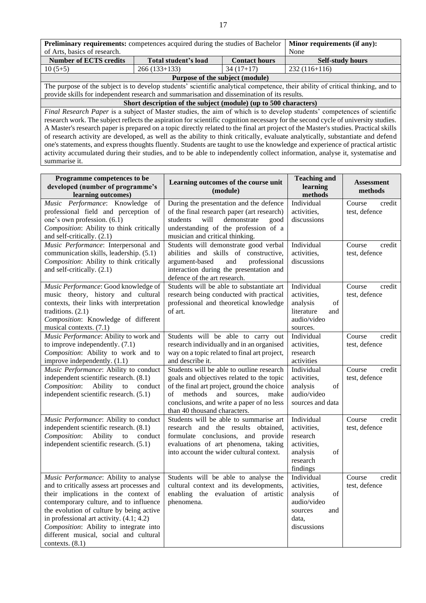| <b>Preliminary requirements:</b> competences acquired during the studies of Bachelor                                           | Minor requirements (if any):                                     |                         |                                                                                                                                      |  |  |  |  |  |
|--------------------------------------------------------------------------------------------------------------------------------|------------------------------------------------------------------|-------------------------|--------------------------------------------------------------------------------------------------------------------------------------|--|--|--|--|--|
| of Arts, basics of research.                                                                                                   | None                                                             |                         |                                                                                                                                      |  |  |  |  |  |
| <b>Number of ECTS credits</b>                                                                                                  | Total student's load                                             | <b>Self-study hours</b> |                                                                                                                                      |  |  |  |  |  |
| $10(5+5)$                                                                                                                      | $266(133+133)$                                                   | $34(17+17)$             | $232(116+116)$                                                                                                                       |  |  |  |  |  |
|                                                                                                                                | Purpose of the subject (module)                                  |                         |                                                                                                                                      |  |  |  |  |  |
|                                                                                                                                |                                                                  |                         | The purpose of the subject is to develop students' scientific analytical competence, their ability of critical thinking, and to      |  |  |  |  |  |
| provide skills for independent research and summarisation and dissemination of its results.                                    |                                                                  |                         |                                                                                                                                      |  |  |  |  |  |
|                                                                                                                                | Short description of the subject (module) (up to 500 characters) |                         |                                                                                                                                      |  |  |  |  |  |
|                                                                                                                                |                                                                  |                         | Final Research Paper is a subject of Master studies, the aim of which is to develop students' competences of scientific              |  |  |  |  |  |
|                                                                                                                                |                                                                  |                         | research work. The subject reflects the aspiration for scientific cognition necessary for the second cycle of university studies.    |  |  |  |  |  |
|                                                                                                                                |                                                                  |                         | A Master's research paper is prepared on a topic directly related to the final art project of the Master's studies. Practical skills |  |  |  |  |  |
|                                                                                                                                |                                                                  |                         | of research activity are developed, as well as the ability to think critically, evaluate analytically, substantiate and defend       |  |  |  |  |  |
| one's statements, and express thoughts fluently. Students are taught to use the knowledge and experience of practical artistic |                                                                  |                         |                                                                                                                                      |  |  |  |  |  |
|                                                                                                                                |                                                                  |                         | activity accumulated during their studies, and to be able to independently collect information, analyse it, systematise and          |  |  |  |  |  |
| summarise it.                                                                                                                  |                                                                  |                         |                                                                                                                                      |  |  |  |  |  |

| Programme competences to be<br>developed (number of programme's<br>learning outcomes)                                                                                                                                                                                                                                                                                  | Learning outcomes of the course unit<br>(module)                                                                                                                                                                                                               | <b>Teaching and</b><br>learning<br>methods                                                           | <b>Assessment</b><br>methods      |
|------------------------------------------------------------------------------------------------------------------------------------------------------------------------------------------------------------------------------------------------------------------------------------------------------------------------------------------------------------------------|----------------------------------------------------------------------------------------------------------------------------------------------------------------------------------------------------------------------------------------------------------------|------------------------------------------------------------------------------------------------------|-----------------------------------|
| Music Performance: Knowledge of<br>professional field and perception of<br>one's own profession. (6.1)<br>Composition: Ability to think critically<br>and self-critically. (2.1)                                                                                                                                                                                       | During the presentation and the defence<br>of the final research paper (art research)<br>students<br>demonstrate<br>will<br>good<br>understanding of the profession of a<br>musician and critical thinking.                                                    | Individual<br>activities,<br>discussions                                                             | Course<br>credit<br>test, defence |
| Music Performance: Interpersonal and<br>communication skills, leadership. (5.1)<br>Composition: Ability to think critically<br>and self-critically. (2.1)                                                                                                                                                                                                              | Students will demonstrate good verbal<br>abilities and skills of constructive,<br>argument-based<br>and<br>professional<br>interaction during the presentation and<br>defence of the art research.                                                             | Individual<br>activities,<br>discussions                                                             | Course<br>credit<br>test, defence |
| Music Performance: Good knowledge of<br>music theory, history and cultural<br>contexts, their links with interpretation<br>traditions. $(2.1)$<br>Composition: Knowledge of different<br>musical contexts. (7.1)                                                                                                                                                       | Students will be able to substantiate art<br>research being conducted with practical<br>professional and theoretical knowledge<br>of art.                                                                                                                      | Individual<br>activities,<br>analysis<br>of<br>literature<br>and<br>audio/video<br>sources.          | Course<br>credit<br>test, defence |
| Music Performance: Ability to work and<br>to improve independently. $(7.1)$<br>Composition: Ability to work and to<br>improve independently. (1.1)                                                                                                                                                                                                                     | Students will be able to carry out<br>research individually and in an organised<br>way on a topic related to final art project,<br>and describe it.                                                                                                            | Individual<br>activities,<br>research<br>activities                                                  | Course<br>credit<br>test, defence |
| Music Performance: Ability to conduct<br>independent scientific research. (8.1)<br>Composition:<br>Ability<br>$\mathop{\mathrm{to}}$<br>conduct<br>independent scientific research. (5.1)                                                                                                                                                                              | Students will be able to outline research<br>goals and objectives related to the topic<br>of the final art project, ground the choice<br>of<br>methods<br>and<br>sources,<br>make<br>conclusions, and write a paper of no less<br>than 40 thousand characters. | Individual<br>activities,<br>analysis<br>of<br>audio/video<br>sources and data                       | Course<br>credit<br>test, defence |
| Music Performance: Ability to conduct<br>independent scientific research. (8.1)<br>Ability<br>Composition:<br>to<br>conduct<br>independent scientific research. (5.1)                                                                                                                                                                                                  | Students will be able to summarise art<br>research and the results obtained,<br>formulate conclusions, and provide<br>evaluations of art phenomena, taking<br>into account the wider cultural context.                                                         | Individual<br>activities,<br>research<br>activities,<br>analysis<br>of<br>research<br>findings       | Course<br>credit<br>test, defence |
| Music Performance: Ability to analyse<br>and to critically assess art processes and<br>their implications in the context of<br>contemporary culture, and to influence<br>the evolution of culture by being active<br>in professional art activity. (4.1; 4.2)<br>Composition: Ability to integrate into<br>different musical, social and cultural<br>contexts. $(8.1)$ | Students will be able to analyse the<br>cultural context and its developments,<br>enabling the evaluation of artistic<br>phenomena.                                                                                                                            | Individual<br>activities,<br>of<br>analysis<br>audio/video<br>sources<br>and<br>data,<br>discussions | Course<br>credit<br>test, defence |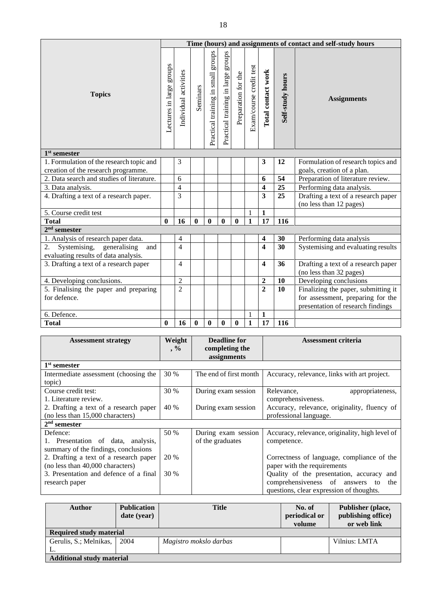|                                           |                          |                       |                  |                                       |                                       |                     |                         |                         |                  | Time (hours) and assignments of contact and self-study hours   |
|-------------------------------------------|--------------------------|-----------------------|------------------|---------------------------------------|---------------------------------------|---------------------|-------------------------|-------------------------|------------------|----------------------------------------------------------------|
| <b>Topics</b>                             | Lectures in large groups | Individual activities | Seminars         | groups<br>Practical training in small | sdnong<br>Practical training in large | Preparation for the | Exam/course credit test | Total contact work      | Self-study hours | <b>Assignments</b>                                             |
| $1st$ semester                            |                          |                       |                  |                                       |                                       |                     |                         |                         |                  |                                                                |
| 1. Formulation of the research topic and  |                          | 3                     |                  |                                       |                                       |                     |                         | 3                       | 12               | Formulation of research topics and                             |
| creation of the research programme.       |                          |                       |                  |                                       |                                       |                     |                         |                         |                  | goals, creation of a plan.                                     |
| 2. Data search and studies of literature. |                          | 6                     |                  |                                       |                                       |                     |                         | 6                       | 54               | Preparation of literature review.                              |
| 3. Data analysis.                         |                          | $\overline{4}$        |                  |                                       |                                       |                     |                         | 4                       | 25               | Performing data analysis.                                      |
| 4. Drafting a text of a research paper.   |                          | 3                     |                  |                                       |                                       |                     |                         | $\overline{\mathbf{3}}$ | 25               | Drafting a text of a research paper<br>(no less than 12 pages) |
| 5. Course credit test                     |                          |                       |                  |                                       |                                       |                     | 1                       | $\mathbf{1}$            |                  |                                                                |
| <b>Total</b>                              | $\bf{0}$                 | 16                    | $\boldsymbol{0}$ | 0                                     | $\mathbf{0}$                          | $\mathbf{0}$        | $\mathbf{1}$            | 17                      | 116              |                                                                |
| $2nd$ semester                            |                          |                       |                  |                                       |                                       |                     |                         |                         |                  |                                                                |
| 1. Analysis of research paper data.       |                          | $\overline{4}$        |                  |                                       |                                       |                     |                         | 4                       | 30               | Performing data analysis                                       |
| Systemising, generalising<br>2.<br>and    |                          | $\overline{4}$        |                  |                                       |                                       |                     |                         | $\overline{\mathbf{4}}$ | 30               | Systemising and evaluating results                             |
| evaluating results of data analysis.      |                          |                       |                  |                                       |                                       |                     |                         |                         |                  |                                                                |
| 3. Drafting a text of a research paper    |                          | 4                     |                  |                                       |                                       |                     |                         | 4                       | 36               | Drafting a text of a research paper                            |
|                                           |                          |                       |                  |                                       |                                       |                     |                         |                         |                  | (no less than 32 pages)                                        |
| 4. Developing conclusions.                |                          | $\overline{c}$        |                  |                                       |                                       |                     |                         | $\overline{2}$          | 10               | Developing conclusions                                         |
| 5. Finalising the paper and preparing     |                          | $\overline{2}$        |                  |                                       |                                       |                     |                         | $\overline{2}$          | 10               | Finalizing the paper, submitting it                            |
| for defence.                              |                          |                       |                  |                                       |                                       |                     |                         |                         |                  | for assessment, preparing for the                              |
|                                           |                          |                       |                  |                                       |                                       |                     |                         |                         |                  | presentation of research findings                              |
| 6. Defence.                               |                          |                       |                  |                                       |                                       |                     | 1                       | $\mathbf{1}$            |                  |                                                                |
| <b>Total</b>                              | 0                        | 16                    | $\bf{0}$         | 0                                     | $\bf{0}$                              | $\bf{0}$            | $\mathbf{1}$            | 17                      | 116              |                                                                |

| <b>Assessment strategy</b>             | Weight<br>$, \%$ | <b>Deadline for</b><br>completing the | <b>Assessment criteria</b>                      |
|----------------------------------------|------------------|---------------------------------------|-------------------------------------------------|
|                                        |                  | assignments                           |                                                 |
| $1st$ semester                         |                  |                                       |                                                 |
| Intermediate assessment (choosing the  | 30 %             | The end of first month                | Accuracy, relevance, links with art project.    |
| topic)                                 |                  |                                       |                                                 |
| Course credit test:                    | 30 %             | During exam session                   | Relevance,<br>appropriateness,                  |
| 1. Literature review.                  |                  |                                       | comprehensiveness.                              |
| 2. Drafting a text of a research paper | 40 %             | During exam session                   | Accuracy, relevance, originality, fluency of    |
| (no less than 15,000 characters)       |                  |                                       | professional language.                          |
| $2nd$ semester                         |                  |                                       |                                                 |
| Defence:                               | 50 %             | During exam session                   | Accuracy, relevance, originality, high level of |
| 1. Presentation of data, analysis,     |                  | of the graduates                      | competence.                                     |
| summary of the findings, conclusions   |                  |                                       |                                                 |
| 2. Drafting a text of a research paper | 20 %             |                                       | Correctness of language, compliance of the      |
| (no less than 40,000 characters)       |                  |                                       | paper with the requirements                     |
| 3. Presentation and defence of a final | 30 %             |                                       | Quality of the presentation, accuracy<br>and    |
| research paper                         |                  |                                       | comprehensiveness of answers<br>the<br>to       |
|                                        |                  |                                       | questions, clear expression of thoughts.        |

| <b>Author</b>                    | <b>Publication</b><br>date (year) | <b>Title</b>           | No. of<br>periodical or<br>volume | Publisher (place,<br>publishing office)<br>or web link |
|----------------------------------|-----------------------------------|------------------------|-----------------------------------|--------------------------------------------------------|
| <b>Required study material</b>   |                                   |                        |                                   |                                                        |
| Gerulis, S.; Melnikas,           | 2004                              | Magistro mokslo darbas |                                   | Vilnius: LMTA                                          |
| L.                               |                                   |                        |                                   |                                                        |
| <b>Additional study material</b> |                                   |                        |                                   |                                                        |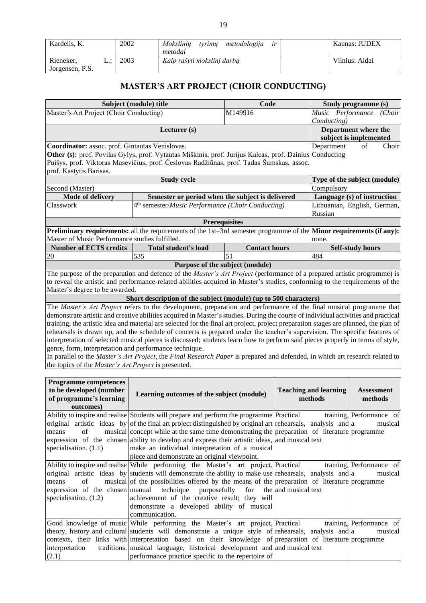| Kardelis, K.                 |    | 2002 | Moksliniu<br>metodologija<br>tvrimu<br>ir<br>metodai | Kaunas: JUDEX  |
|------------------------------|----|------|------------------------------------------------------|----------------|
| Rieneker,<br>Jorgensen, P.S. | ⊷∟ | 2003 | Kaip rašyti mokslini darba                           | Vilnius: Aidai |

## **MASTER'S ART PROJECT (CHOIR CONDUCTING)**

<span id="page-19-0"></span>

|                                                                                                                            | Subject (module) title                                                                                                               | Code                 | Study programme (s)          |                         |        |  |
|----------------------------------------------------------------------------------------------------------------------------|--------------------------------------------------------------------------------------------------------------------------------------|----------------------|------------------------------|-------------------------|--------|--|
| Master's Art Project (Choir Conducting)                                                                                    |                                                                                                                                      | M149916              | Music Performance            |                         | (Choir |  |
|                                                                                                                            |                                                                                                                                      |                      | Conducting)                  |                         |        |  |
|                                                                                                                            | Lecturer (s)                                                                                                                         |                      | Department where the         |                         |        |  |
|                                                                                                                            |                                                                                                                                      |                      | subject is implemented       |                         |        |  |
| Coordinator: assoc. prof. Gintautas Venislovas.<br>Department                                                              |                                                                                                                                      |                      |                              | of                      | Choir  |  |
|                                                                                                                            | Other (s): prof. Povilas Gylys, prof. Vytautas Miškinis, prof. Jurijus Kalcas, prof. Dainius Conducting                              |                      |                              |                         |        |  |
|                                                                                                                            | Puišys, prof. Viktoras Masevičius, prof. Česlovas Radžiūnas, prof. Tadas Šumskas, assoc.                                             |                      |                              |                         |        |  |
| prof. Kastytis Barisas.                                                                                                    |                                                                                                                                      |                      |                              |                         |        |  |
|                                                                                                                            | <b>Study cycle</b>                                                                                                                   |                      | Type of the subject (module) |                         |        |  |
| Second (Master)                                                                                                            |                                                                                                                                      |                      | Compulsory                   |                         |        |  |
| Mode of delivery                                                                                                           | Semester or period when the subject is delivered                                                                                     |                      | Language (s) of instruction  |                         |        |  |
| Classwork                                                                                                                  | 4 <sup>th</sup> semester/ <i>Music Performance</i> (Choir Conducting)                                                                |                      | Lithuanian, English, German, |                         |        |  |
|                                                                                                                            |                                                                                                                                      |                      | Russian                      |                         |        |  |
|                                                                                                                            | <b>Prerequisites</b>                                                                                                                 |                      |                              |                         |        |  |
| Preliminary requirements: all the requirements of the 1st-3rd semester programme of the Minor requirements (if any):       |                                                                                                                                      |                      |                              |                         |        |  |
| Master of Music Performance studies fulfilled.                                                                             |                                                                                                                                      |                      | none.                        |                         |        |  |
| <b>Number of ECTS credits</b>                                                                                              | Total student's load                                                                                                                 | <b>Contact hours</b> |                              | <b>Self-study hours</b> |        |  |
| 20                                                                                                                         | 535                                                                                                                                  | 51                   | 484                          |                         |        |  |
|                                                                                                                            | Purpose of the subject (module)                                                                                                      |                      |                              |                         |        |  |
|                                                                                                                            | The purpose of the preparation and defence of the <i>Master's Art Project</i> (performance of a prepared artistic programme) is      |                      |                              |                         |        |  |
|                                                                                                                            | to reveal the artistic and performance-related abilities acquired in Master's studies, conforming to the requirements of the         |                      |                              |                         |        |  |
| Master's degree to be awarded.                                                                                             |                                                                                                                                      |                      |                              |                         |        |  |
|                                                                                                                            | Short description of the subject (module) (up to 500 characters)                                                                     |                      |                              |                         |        |  |
|                                                                                                                            | The Master's Art Project refers to the development, preparation and performance of the final musical programme that                  |                      |                              |                         |        |  |
|                                                                                                                            | demonstrate artistic and creative abilities acquired in Master's studies. During the course of individual activities and practical   |                      |                              |                         |        |  |
|                                                                                                                            | training, the artistic idea and material are selected for the final art project, project preparation stages are planned, the plan of |                      |                              |                         |        |  |
| rehearsals is drawn up, and the schedule of concerts is prepared under the teacher's supervision. The specific features of |                                                                                                                                      |                      |                              |                         |        |  |

interpretation of selected musical pieces is discussed; students learn how to perform said pieces properly in terms of style, genre, form, interpretation and performance technique. In parallel to the *Master's Art Project*, the *Final Research Paper* is prepared and defended, in which art research related to the topics of the *Master's Art Project* is presented.

| <b>Programme competences</b><br>to be developed (number<br>of programme's learning<br>outcomes) | Learning outcomes of the subject (module)                                                                                                                                                                                                                                                                                                                                                                                                                                                                                   | <b>Teaching and learning</b><br>methods | <b>Assessment</b><br>methods        |  |
|-------------------------------------------------------------------------------------------------|-----------------------------------------------------------------------------------------------------------------------------------------------------------------------------------------------------------------------------------------------------------------------------------------------------------------------------------------------------------------------------------------------------------------------------------------------------------------------------------------------------------------------------|-----------------------------------------|-------------------------------------|--|
| of<br>means<br>specialisation. $(1.1)$                                                          | Ability to inspire and realise Students will prepare and perform the programme Practical<br>original artistic ideas by of the final art project distinguished by original art rehearsals, analysis and a<br>musical concept while at the same time demonstrating the preparation of literature programme<br>expression of the chosen ability to develop and express their artistic ideas, and musical text<br>make an individual interpretation of a musical<br>piece and demonstrate an original viewpoint.                |                                         | training, Performance of<br>musical |  |
| of<br>means<br>specialisation. $(1.2)$                                                          | Ability to inspire and realise While performing the Master's art project, Practical training, Performance of<br>original artistic ideas by students will demonstrate the ability to make use rehearsals, analysis and a<br>musical of the possibilities offered by the means of the preparation of literature programme<br>expression of the chosen manual technique purposefully for the and musical text<br>achievement of the creative result; they will<br>demonstrate a developed ability of musical<br>communication. |                                         | musical                             |  |
| interpretation<br>(2.1)                                                                         | Good knowledge of music While performing the Master's art project, Practical training, Performance of<br>theory, history and cultural students will demonstrate a unique style of rehearsals, analysis and a<br>contexts, their links with interpretation based on their knowledge of preparation of literature programme<br>traditions. musical language, historical development and and musical text<br>performance practice specific to the repertoire of                                                                |                                         | musical                             |  |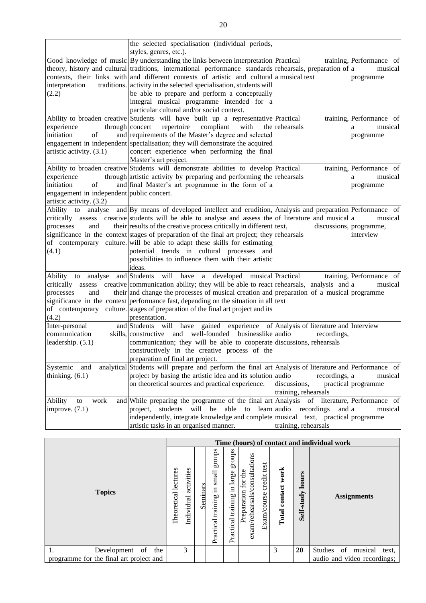|                                           | the selected specialisation (individual periods,<br>styles, genres, etc.).                                |                      |                          |
|-------------------------------------------|-----------------------------------------------------------------------------------------------------------|----------------------|--------------------------|
|                                           | Good knowledge of music By understanding the links between interpretation Practical                       |                      | training, Performance of |
|                                           | theory, history and cultural traditions, international performance standards rehearsals, preparation of a |                      | musical                  |
|                                           | contexts, their links with and different contexts of artistic and cultural a musical text                 |                      |                          |
| interpretation                            | traditions. activity in the selected specialisation, students will                                        |                      | programme                |
|                                           |                                                                                                           |                      |                          |
| (2.2)                                     | be able to prepare and perform a conceptually                                                             |                      |                          |
|                                           | integral musical programme intended for a                                                                 |                      |                          |
|                                           | particular cultural and/or social context.                                                                |                      |                          |
|                                           | Ability to broaden creative Students will have built up a representative Practical                        |                      | training, Performance of |
| experience                                | through concert<br>repertoire<br>compliant<br>with                                                        | the rehearsals       | musical<br>a             |
| of<br>initiation                          | and requirements of the Master's degree and selected                                                      |                      | programme                |
|                                           | engagement in independent specialisation; they will demonstrate the acquired                              |                      |                          |
| artistic activity. (3.1)                  | concert experience when performing the final                                                              |                      |                          |
|                                           | Master's art project.                                                                                     |                      |                          |
|                                           | Ability to broaden creative Students will demonstrate abilities to develop Practical                      |                      | training, Performance of |
| experience                                | through artistic activity by preparing and performing the rehearsals                                      |                      | musical<br>a             |
| initiation<br>of                          | and final Master's art programme in the form of a                                                         |                      | programme                |
| engagement in independent public concert. |                                                                                                           |                      |                          |
| artistic activity. (3.2)                  |                                                                                                           |                      |                          |
| Ability to                                | analyse and By means of developed intellect and erudition, Analysis and preparation Performance of        |                      |                          |
|                                           | critically assess creative students will be able to analyse and assess the of literature and musical a    |                      | musical                  |
| processes<br>and                          | their results of the creative process critically in different lext,                                       |                      | discussions, programme,  |
|                                           | significance in the context stages of preparation of the final art project; they rehearsals               |                      | interview                |
|                                           | of contemporary culture. will be able to adapt these skills for estimating                                |                      |                          |
| (4.1)                                     | potential trends in cultural processes and                                                                |                      |                          |
|                                           | possibilities to influence them with their artistic                                                       |                      |                          |
|                                           | ideas.                                                                                                    |                      |                          |
|                                           | Ability to analyse and Students will have a developed musical Practical                                   |                      | training, Performance of |
|                                           | critically assess creative communication ability; they will be able to react rehearsals, analysis and a   |                      | musical                  |
| processes<br>and                          | their and change the processes of musical creation and preparation of a musical programme                 |                      |                          |
|                                           | significance in the context performance fast, depending on the situation in all lext                      |                      |                          |
|                                           | of contemporary culture. stages of preparation of the final art project and its                           |                      |                          |
| (4.2)                                     | presentation.                                                                                             |                      |                          |
|                                           | and Students will have gained experience of Analysis of literature and Interview                          |                      |                          |
| Inter-personal<br>communication           | skills, constructive and well-founded businesslike audio                                                  | recordings,          |                          |
|                                           |                                                                                                           |                      |                          |
| leadership. $(5.1)$                       | communication; they will be able to cooperate discussions, rehearsals                                     |                      |                          |
|                                           | constructively in the creative process of the                                                             |                      |                          |
|                                           | preparation of final art project.                                                                         |                      |                          |
| Systemic and                              | analytical Students will prepare and perform the final art Analysis of literature and Performance of      |                      |                          |
| thinking. $(6.1)$                         | project by basing the artistic idea and its solution audio                                                | recordings, a        | musical                  |
|                                           | on theoretical sources and practical experience.                                                          | discussions,         | practical programme      |
|                                           |                                                                                                           | training, rehearsals |                          |
| work<br>Ability<br>to                     | and While preparing the programme of the final art Analysis of literature, Performance of                 |                      |                          |
| improve. $(7.1)$                          | project, students will be able to learn audio recordings                                                  | and a                | musical                  |
|                                           | independently, integrate knowledge and complete musical text, practical programme                         |                      |                          |
|                                           | artistic tasks in an organised manner.                                                                    | training, rehearsals |                          |

|                                         |                             |                          |          |                                                |                                                       |                                                                                                  |                         |                          |                     | Time (hours) of contact and individual work |
|-----------------------------------------|-----------------------------|--------------------------|----------|------------------------------------------------|-------------------------------------------------------|--------------------------------------------------------------------------------------------------|-------------------------|--------------------------|---------------------|---------------------------------------------|
| <b>Topics</b>                           | s<br>lecture<br>Theoretical | activities<br>Individual | Seminars | groups<br>small<br>크.<br>training<br>Practical | s<br>sdno<br>large<br>$\Xi.$<br>training<br>Practical | consultations<br>$\mathbf{d}$<br>for<br>$\overline{\mathrm{m}}$<br>exam/rehearsals/<br>Preparati | Exam/course credit test | work<br>contact<br>Total | hours<br>Self-study | <b>Assignments</b>                          |
| of<br>1.<br>the<br>Development          |                             | 3                        |          |                                                |                                                       |                                                                                                  |                         | 3                        | <b>20</b>           | <b>Studies</b><br>of<br>musical<br>text.    |
| programme for the final art project and |                             |                          |          |                                                |                                                       |                                                                                                  |                         |                          |                     | audio and video recordings;                 |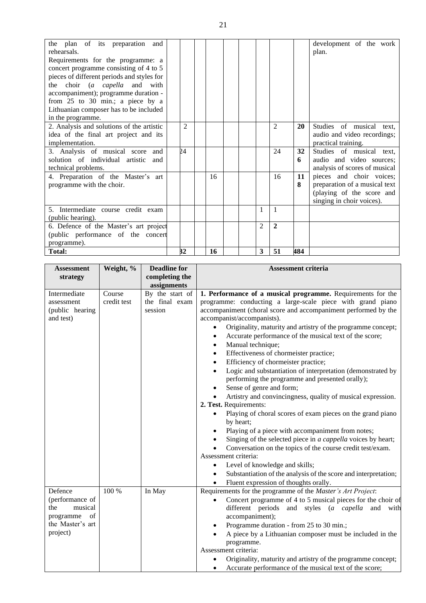| the plan of its preparation and<br>rehearsals.<br>Requirements for the programme: a<br>concert programme consisting of 4 to 5<br>pieces of different periods and styles for<br>the choir (a capella and with<br>accompaniment); programme duration -<br>from 25 to 30 min.; a piece by a<br>Lithuanian composer has to be included<br>in the programme. |    |                |    |  |   |                             |         | development of the work<br>plan.                                                                                    |
|---------------------------------------------------------------------------------------------------------------------------------------------------------------------------------------------------------------------------------------------------------------------------------------------------------------------------------------------------------|----|----------------|----|--|---|-----------------------------|---------|---------------------------------------------------------------------------------------------------------------------|
| 2. Analysis and solutions of the artistic<br>idea of the final art project and its<br>implementation.                                                                                                                                                                                                                                                   |    | $\mathfrak{D}$ |    |  |   | $\mathcal{D}_{\mathcal{L}}$ | 20      | Studies of musical text,<br>audio and video recordings;<br>practical training.                                      |
| 3. Analysis of musical score<br>and<br>solution of individual artistic<br>and<br>technical problems.                                                                                                                                                                                                                                                    | 24 |                |    |  |   | 24                          | 32<br>6 | Studies of musical text,<br>audio and video sources;<br>analysis of scores of musical                               |
| 4. Preparation of the Master's art<br>programme with the choir.                                                                                                                                                                                                                                                                                         |    |                | 16 |  |   | 16                          | 11<br>8 | pieces and choir voices;<br>preparation of a musical text<br>(playing of the score and<br>singing in choir voices). |
| 5. Intermediate course credit exam<br>(public hearing).                                                                                                                                                                                                                                                                                                 |    |                |    |  | 1 | $\overline{1}$              |         |                                                                                                                     |
| 6. Defence of the Master's art project<br>(public performance of the concert<br>programme).                                                                                                                                                                                                                                                             |    |                |    |  | 2 | $\overline{2}$              |         |                                                                                                                     |
| <b>Total:</b>                                                                                                                                                                                                                                                                                                                                           | 32 |                | 16 |  | 3 | 51                          | 484     |                                                                                                                     |

| <b>Assessment</b><br>strategy                                                                   | Weight, %             | <b>Deadline for</b><br>completing the        | <b>Assessment criteria</b>                                                                                                                                                                                                                                                                                                                                                                                                                                                                                                                                                                                                                                                                                                                                                                                                                                                                                                                                                                                                                                                                                                                                                                                                                                |  |  |
|-------------------------------------------------------------------------------------------------|-----------------------|----------------------------------------------|-----------------------------------------------------------------------------------------------------------------------------------------------------------------------------------------------------------------------------------------------------------------------------------------------------------------------------------------------------------------------------------------------------------------------------------------------------------------------------------------------------------------------------------------------------------------------------------------------------------------------------------------------------------------------------------------------------------------------------------------------------------------------------------------------------------------------------------------------------------------------------------------------------------------------------------------------------------------------------------------------------------------------------------------------------------------------------------------------------------------------------------------------------------------------------------------------------------------------------------------------------------|--|--|
|                                                                                                 |                       | assignments                                  |                                                                                                                                                                                                                                                                                                                                                                                                                                                                                                                                                                                                                                                                                                                                                                                                                                                                                                                                                                                                                                                                                                                                                                                                                                                           |  |  |
| Intermediate<br>assessment<br>(public hearing<br>and test)                                      | Course<br>credit test | By the start of<br>the final exam<br>session | 1. Performance of a musical programme. Requirements for the<br>programme: conducting a large-scale piece with grand piano<br>accompaniment (choral score and accompaniment performed by the<br>accompanist/accompanists).<br>Originality, maturity and artistry of the programme concept;<br>Accurate performance of the musical text of the score;<br>$\bullet$<br>Manual technique;<br>$\bullet$<br>Effectiveness of chormeister practice;<br>$\bullet$<br>Efficiency of chormeister practice;<br>$\bullet$<br>Logic and substantiation of interpretation (demonstrated by<br>$\bullet$<br>performing the programme and presented orally);<br>Sense of genre and form;<br>$\bullet$<br>Artistry and convincingness, quality of musical expression.<br>2. Test. Requirements:<br>Playing of choral scores of exam pieces on the grand piano<br>by heart;<br>Playing of a piece with accompaniment from notes;<br>Singing of the selected piece in a cappella voices by heart;<br>Conversation on the topics of the course credit test/exam.<br>Assessment criteria:<br>Level of knowledge and skills;<br>$\bullet$<br>Substantiation of the analysis of the score and interpretation;<br>$\bullet$<br>Fluent expression of thoughts orally.<br>$\bullet$ |  |  |
| Defence<br>(performance of<br>the<br>musical<br>programme<br>of<br>the Master's art<br>project) | 100 %                 | In May                                       | Requirements for the programme of the Master's Art Project:<br>Concert programme of 4 to 5 musical pieces for the choir of<br>different periods and styles (a capella<br>and with<br>accompaniment);<br>Programme duration - from 25 to 30 min.;<br>$\bullet$<br>A piece by a Lithuanian composer must be included in the<br>programme.<br>Assessment criteria:<br>Originality, maturity and artistry of the programme concept;<br>Accurate performance of the musical text of the score;                                                                                                                                                                                                                                                                                                                                                                                                                                                                                                                                                                                                                                                                                                                                                                 |  |  |